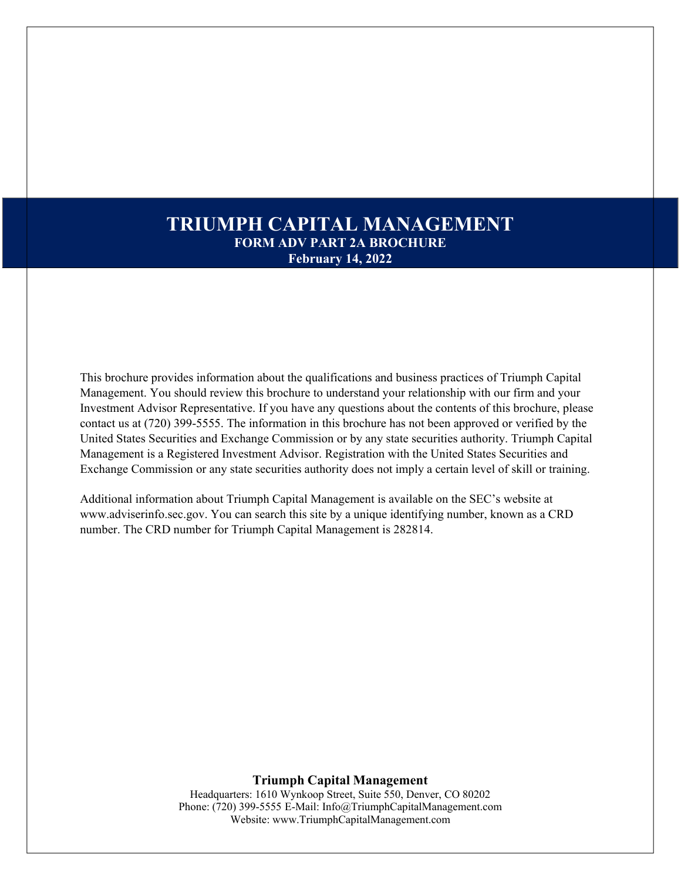# **TRIUMPH CAPITAL MANAGEMENT FORM ADV PART 2A BROCHURE February 14, 2022**

This brochure provides information about the qualifications and business practices of Triumph Capital Management. You should review this brochure to understand your relationship with our firm and your Investment Advisor Representative. If you have any questions about the contents of this brochure, please contact us at (720) 399-5555. The information in this brochure has not been approved or verified by the United States Securities and Exchange Commission or by any state securities authority. Triumph Capital Management is a Registered Investment Advisor. Registration with the United States Securities and Exchange Commission or any state securities authority does not imply a certain level of skill or training.

Additional information about Triumph Capital Management is available on the SEC's website at [www.adviserinfo.sec.gov. Y](http://www.adviserinfo.sec.gov/)ou can search this site by a unique identifying number, known as a CRD number. The CRD number for Triumph Capital Management is 282814.

> **Triumph Capital Management** Headquarters: 1610 Wynkoop Street, Suite 550, Denver, CO 80202 Phone: (720) 399-5555 E-Mail: [Info@TriumphCapitalManagement.com](mailto:Info@TriumphCapitalManagement.com) Website: [www.TriumphCapitalManagement.com](http://www.triumphcapitalmanagement.com/)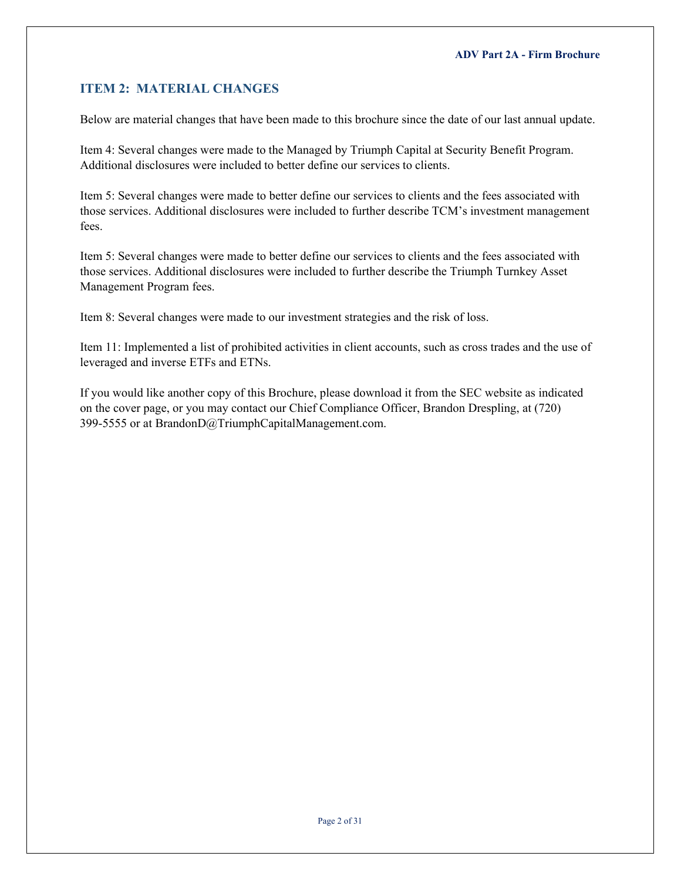## <span id="page-1-0"></span>**ITEM 2: MATERIAL CHANGES**

Below are material changes that have been made to this brochure since the date of our last annual update.

Item 4: Several changes were made to the Managed by Triumph Capital at Security Benefit Program. Additional disclosures were included to better define our services to clients.

Item 5: Several changes were made to better define our services to clients and the fees associated with those services. Additional disclosures were included to further describe TCM's investment management fees.

Item 5: Several changes were made to better define our services to clients and the fees associated with those services. Additional disclosures were included to further describe the Triumph Turnkey Asset Management Program fees.

Item 8: Several changes were made to our investment strategies and the risk of loss.

Item 11: Implemented a list of prohibited activities in client accounts, such as cross trades and the use of leveraged and inverse ETFs and ETNs.

If you would like another copy of this Brochure, please download it from the SEC website as indicated on the cover page, or you may contact our Chief Compliance Officer, Brandon Drespling, at (720) 399-5555 or at [BrandonD@TriumphCapitalManagement.com.](mailto:BrandonD@TriumphCapitalManagement.com)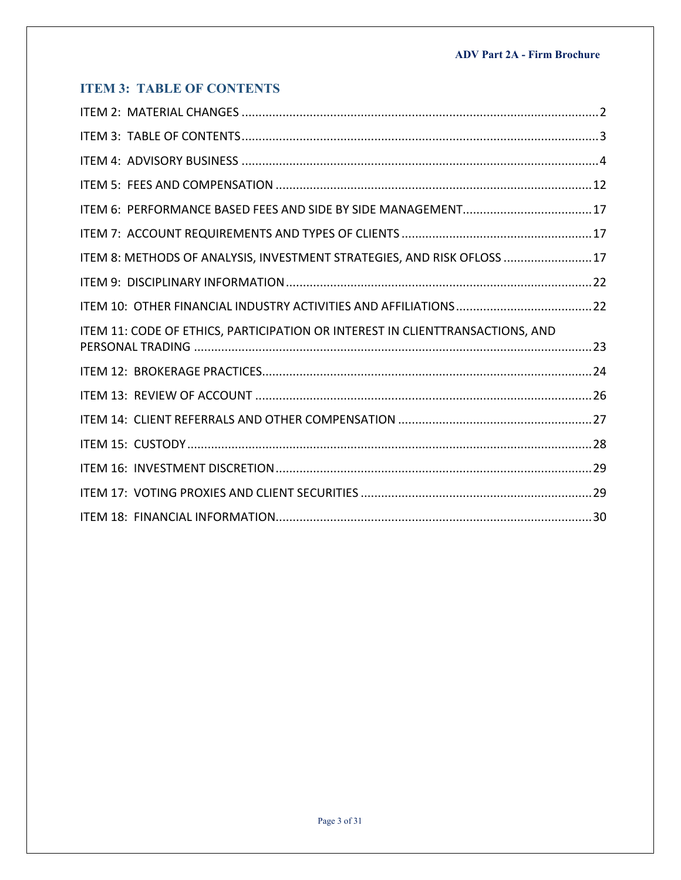# <span id="page-2-0"></span>**ITEM 3: TABLE OF CONTENTS**

| ITEM 8: METHODS OF ANALYSIS, INVESTMENT STRATEGIES, AND RISK OFLOSS 17        |
|-------------------------------------------------------------------------------|
|                                                                               |
|                                                                               |
| ITEM 11: CODE OF ETHICS, PARTICIPATION OR INTEREST IN CLIENTTRANSACTIONS, AND |
|                                                                               |
|                                                                               |
|                                                                               |
|                                                                               |
|                                                                               |
|                                                                               |
|                                                                               |
|                                                                               |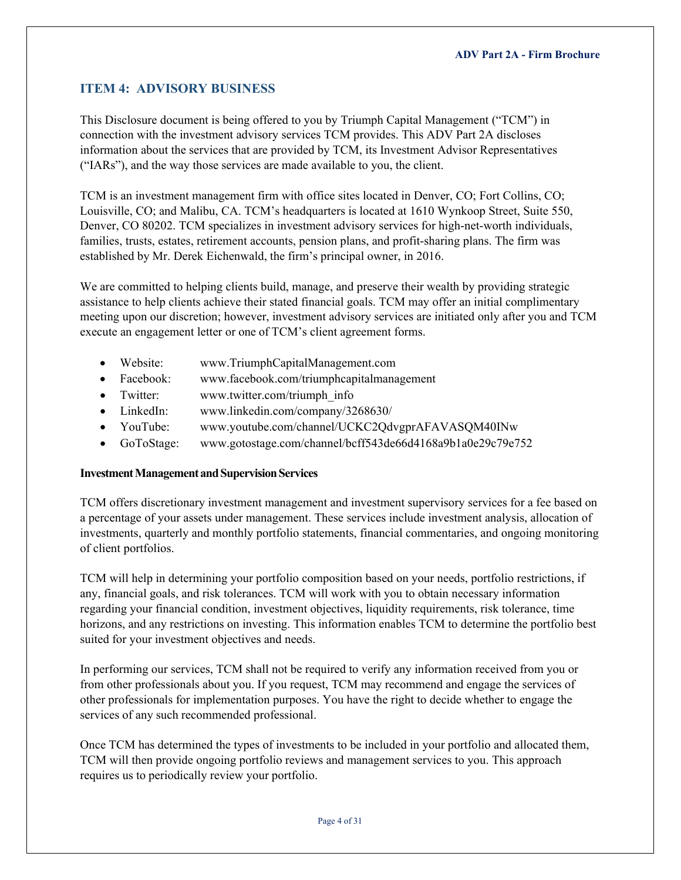## <span id="page-3-0"></span>**ITEM 4: ADVISORY BUSINESS**

This Disclosure document is being offered to you by Triumph Capital Management ("TCM") in connection with the investment advisory services TCM provides. This ADV Part 2A discloses information about the services that are provided by TCM, its Investment Advisor Representatives ("IARs"), and the way those services are made available to you, the client.

TCM is an investment management firm with office sites located in Denver, CO; Fort Collins, CO; Louisville, CO; and Malibu, CA. TCM's headquarters is located at 1610 Wynkoop Street, Suite 550, Denver, CO 80202. TCM specializes in investment advisory services for high-net-worth individuals, families, trusts, estates, retirement accounts, pension plans, and profit-sharing plans. The firm was established by Mr. Derek Eichenwald, the firm's principal owner, in 2016.

We are committed to helping clients build, manage, and preserve their wealth by providing strategic assistance to help clients achieve their stated financial goals. TCM may offer an initial complimentary meeting upon our discretion; however, investment advisory services are initiated only after you and TCM execute an engagement letter or one of TCM's client agreement forms.

- Website: [www.TriumphCapitalManagement.com](http://www.triumphcapitalmanagement.com/)
- Facebook: [www.facebook.com/triumphcapitalmanagement](http://www.facebook.com/triumphcapitalmanagement)
- Twitter: [www.twitter.com/triumph\\_info](http://www.twitter.com/triumph_info)
- LinkedIn: [www.linkedin.com/company/3268630/](https://www.linkedin.com/company/3268630/)
- YouTube: [www.youtube.com/channel/UCKC2QdvgprAFAVASQM40INw](https://www.youtube.com/channel/UCKC2QdvgprAFAVASQM40INw)
- GoToStage: [www.gotostage.com/channel/bcff543de66d4168a9b1a0e29c79e752](http://www.gotostage.com/channel/bcff543de66d4168a9b1a0e29c79e752)

## **Investment Management and Supervision Services**

TCM offers discretionary investment management and investment supervisory services for a fee based on a percentage of your assets under management. These services include investment analysis, allocation of investments, quarterly and monthly portfolio statements, financial commentaries, and ongoing monitoring of client portfolios.

TCM will help in determining your portfolio composition based on your needs, portfolio restrictions, if any, financial goals, and risk tolerances. TCM will work with you to obtain necessary information regarding your financial condition, investment objectives, liquidity requirements, risk tolerance, time horizons, and any restrictions on investing. This information enables TCM to determine the portfolio best suited for your investment objectives and needs.

In performing our services, TCM shall not be required to verify any information received from you or from other professionals about you. If you request, TCM may recommend and engage the services of other professionals for implementation purposes. You have the right to decide whether to engage the services of any such recommended professional.

Once TCM has determined the types of investments to be included in your portfolio and allocated them, TCM will then provide ongoing portfolio reviews and management services to you. This approach requires us to periodically review your portfolio.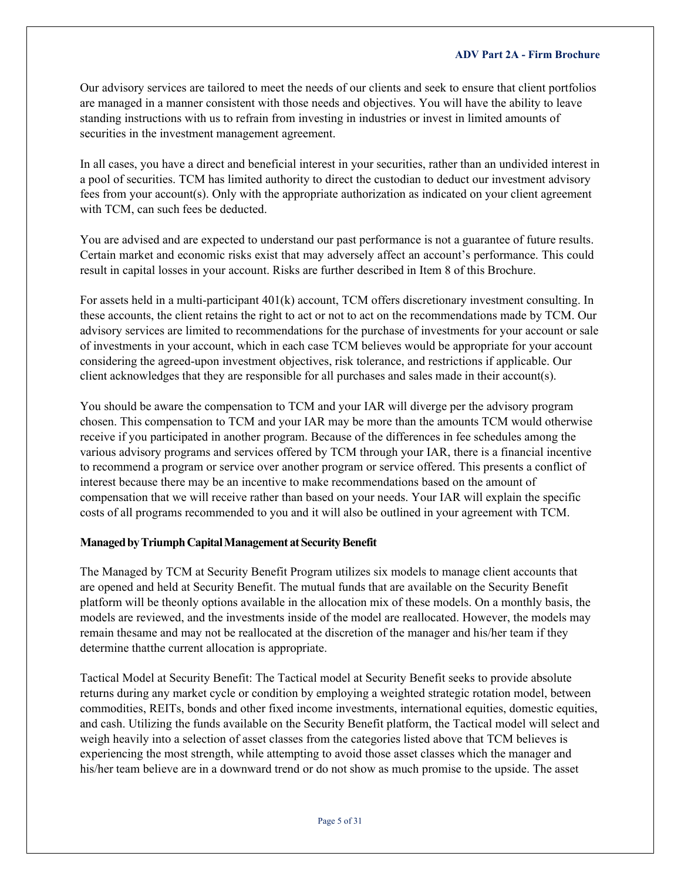Our advisory services are tailored to meet the needs of our clients and seek to ensure that client portfolios are managed in a manner consistent with those needs and objectives. You will have the ability to leave standing instructions with us to refrain from investing in industries or invest in limited amounts of securities in the investment management agreement.

In all cases, you have a direct and beneficial interest in your securities, rather than an undivided interest in a pool of securities. TCM has limited authority to direct the custodian to deduct our investment advisory fees from your account(s). Only with the appropriate authorization as indicated on your client agreement with TCM, can such fees be deducted.

You are advised and are expected to understand our past performance is not a guarantee of future results. Certain market and economic risks exist that may adversely affect an account's performance. This could result in capital losses in your account. Risks are further described in Item 8 of this Brochure.

For assets held in a multi-participant 401(k) account, TCM offers discretionary investment consulting. In these accounts, the client retains the right to act or not to act on the recommendations made by TCM. Our advisory services are limited to recommendations for the purchase of investments for your account or sale of investments in your account, which in each case TCM believes would be appropriate for your account considering the agreed-upon investment objectives, risk tolerance, and restrictions if applicable. Our client acknowledges that they are responsible for all purchases and sales made in their account(s).

You should be aware the compensation to TCM and your IAR will diverge per the advisory program chosen. This compensation to TCM and your IAR may be more than the amounts TCM would otherwise receive if you participated in another program. Because of the differences in fee schedules among the various advisory programs and services offered by TCM through your IAR, there is a financial incentive to recommend a program or service over another program or service offered. This presents a conflict of interest because there may be an incentive to make recommendations based on the amount of compensation that we will receive rather than based on your needs. Your IAR will explain the specific costs of all programs recommended to you and it will also be outlined in your agreement with TCM.

## **ManagedbyTriumphCapitalManagement atSecurityBenefit**

The Managed by TCM at Security Benefit Program utilizes six models to manage client accounts that are opened and held at Security Benefit. The mutual funds that are available on the Security Benefit platform will be theonly options available in the allocation mix of these models. On a monthly basis, the models are reviewed, and the investments inside of the model are reallocated. However, the models may remain thesame and may not be reallocated at the discretion of the manager and his/her team if they determine thatthe current allocation is appropriate.

Tactical Model at Security Benefit: The Tactical model at Security Benefit seeks to provide absolute returns during any market cycle or condition by employing a weighted strategic rotation model, between commodities, REITs, bonds and other fixed income investments, international equities, domestic equities, and cash. Utilizing the funds available on the Security Benefit platform, the Tactical model will select and weigh heavily into a selection of asset classes from the categories listed above that TCM believes is experiencing the most strength, while attempting to avoid those asset classes which the manager and his/her team believe are in a downward trend or do not show as much promise to the upside. The asset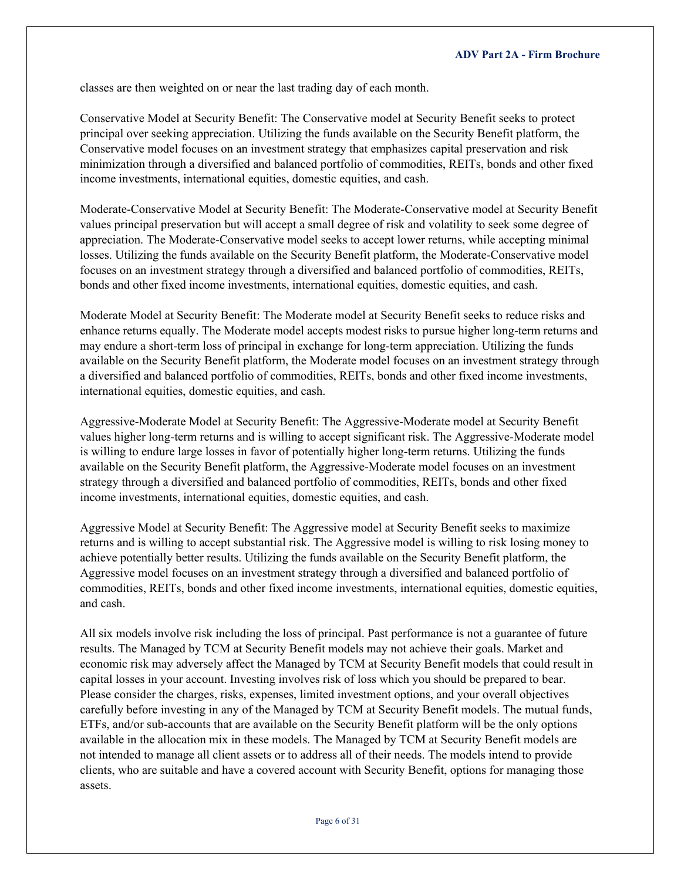classes are then weighted on or near the last trading day of each month.

Conservative Model at Security Benefit: The Conservative model at Security Benefit seeks to protect principal over seeking appreciation. Utilizing the funds available on the Security Benefit platform, the Conservative model focuses on an investment strategy that emphasizes capital preservation and risk minimization through a diversified and balanced portfolio of commodities, REITs, bonds and other fixed income investments, international equities, domestic equities, and cash.

Moderate-Conservative Model at Security Benefit: The Moderate-Conservative model at Security Benefit values principal preservation but will accept a small degree of risk and volatility to seek some degree of appreciation. The Moderate-Conservative model seeks to accept lower returns, while accepting minimal losses. Utilizing the funds available on the Security Benefit platform, the Moderate-Conservative model focuses on an investment strategy through a diversified and balanced portfolio of commodities, REITs, bonds and other fixed income investments, international equities, domestic equities, and cash.

Moderate Model at Security Benefit: The Moderate model at Security Benefit seeks to reduce risks and enhance returns equally. The Moderate model accepts modest risks to pursue higher long-term returns and may endure a short-term loss of principal in exchange for long-term appreciation. Utilizing the funds available on the Security Benefit platform, the Moderate model focuses on an investment strategy through a diversified and balanced portfolio of commodities, REITs, bonds and other fixed income investments, international equities, domestic equities, and cash.

Aggressive-Moderate Model at Security Benefit: The Aggressive-Moderate model at Security Benefit values higher long-term returns and is willing to accept significant risk. The Aggressive-Moderate model is willing to endure large losses in favor of potentially higher long-term returns. Utilizing the funds available on the Security Benefit platform, the Aggressive-Moderate model focuses on an investment strategy through a diversified and balanced portfolio of commodities, REITs, bonds and other fixed income investments, international equities, domestic equities, and cash.

Aggressive Model at Security Benefit: The Aggressive model at Security Benefit seeks to maximize returns and is willing to accept substantial risk. The Aggressive model is willing to risk losing money to achieve potentially better results. Utilizing the funds available on the Security Benefit platform, the Aggressive model focuses on an investment strategy through a diversified and balanced portfolio of commodities, REITs, bonds and other fixed income investments, international equities, domestic equities, and cash.

All six models involve risk including the loss of principal. Past performance is not a guarantee of future results. The Managed by TCM at Security Benefit models may not achieve their goals. Market and economic risk may adversely affect the Managed by TCM at Security Benefit models that could result in capital losses in your account. Investing involves risk of loss which you should be prepared to bear. Please consider the charges, risks, expenses, limited investment options, and your overall objectives carefully before investing in any of the Managed by TCM at Security Benefit models. The mutual funds, ETFs, and/or sub-accounts that are available on the Security Benefit platform will be the only options available in the allocation mix in these models. The Managed by TCM at Security Benefit models are not intended to manage all client assets or to address all of their needs. The models intend to provide clients, who are suitable and have a covered account with Security Benefit, options for managing those assets.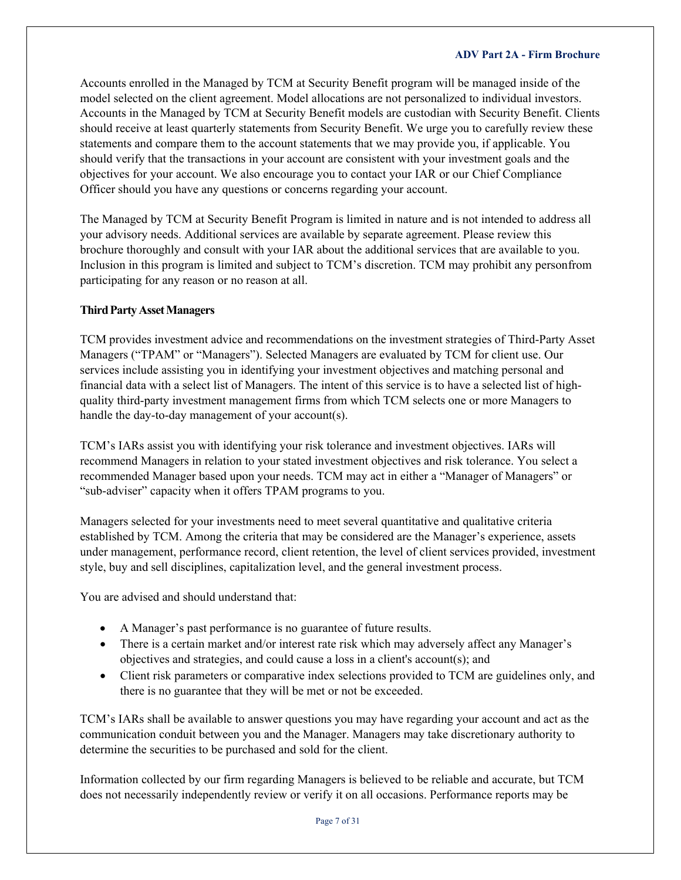Accounts enrolled in the Managed by TCM at Security Benefit program will be managed inside of the model selected on the client agreement. Model allocations are not personalized to individual investors. Accounts in the Managed by TCM at Security Benefit models are custodian with Security Benefit. Clients should receive at least quarterly statements from Security Benefit. We urge you to carefully review these statements and compare them to the account statements that we may provide you, if applicable. You should verify that the transactions in your account are consistent with your investment goals and the objectives for your account. We also encourage you to contact your IAR or our Chief Compliance Officer should you have any questions or concerns regarding your account.

The Managed by TCM at Security Benefit Program is limited in nature and is not intended to address all your advisory needs. Additional services are available by separate agreement. Please review this brochure thoroughly and consult with your IAR about the additional services that are available to you. Inclusion in this program is limited and subject to TCM's discretion. TCM may prohibit any personfrom participating for any reason or no reason at all.

## **Third Party Asset Managers**

TCM provides investment advice and recommendations on the investment strategies of Third-Party Asset Managers ("TPAM" or "Managers"). Selected Managers are evaluated by TCM for client use. Our services include assisting you in identifying your investment objectives and matching personal and financial data with a select list of Managers. The intent of this service is to have a selected list of highquality third-party investment management firms from which TCM selects one or more Managers to handle the day-to-day management of your account(s).

TCM's IARs assist you with identifying your risk tolerance and investment objectives. IARs will recommend Managers in relation to your stated investment objectives and risk tolerance. You select a recommended Manager based upon your needs. TCM may act in either a "Manager of Managers" or "sub-adviser" capacity when it offers TPAM programs to you.

Managers selected for your investments need to meet several quantitative and qualitative criteria established by TCM. Among the criteria that may be considered are the Manager's experience, assets under management, performance record, client retention, the level of client services provided, investment style, buy and sell disciplines, capitalization level, and the general investment process.

You are advised and should understand that:

- A Manager's past performance is no guarantee of future results.
- There is a certain market and/or interest rate risk which may adversely affect any Manager's objectives and strategies, and could cause a loss in a client's account(s); and
- Client risk parameters or comparative index selections provided to TCM are guidelines only, and there is no guarantee that they will be met or not be exceeded.

TCM's IARs shall be available to answer questions you may have regarding your account and act as the communication conduit between you and the Manager. Managers may take discretionary authority to determine the securities to be purchased and sold for the client.

Information collected by our firm regarding Managers is believed to be reliable and accurate, but TCM does not necessarily independently review or verify it on all occasions. Performance reports may be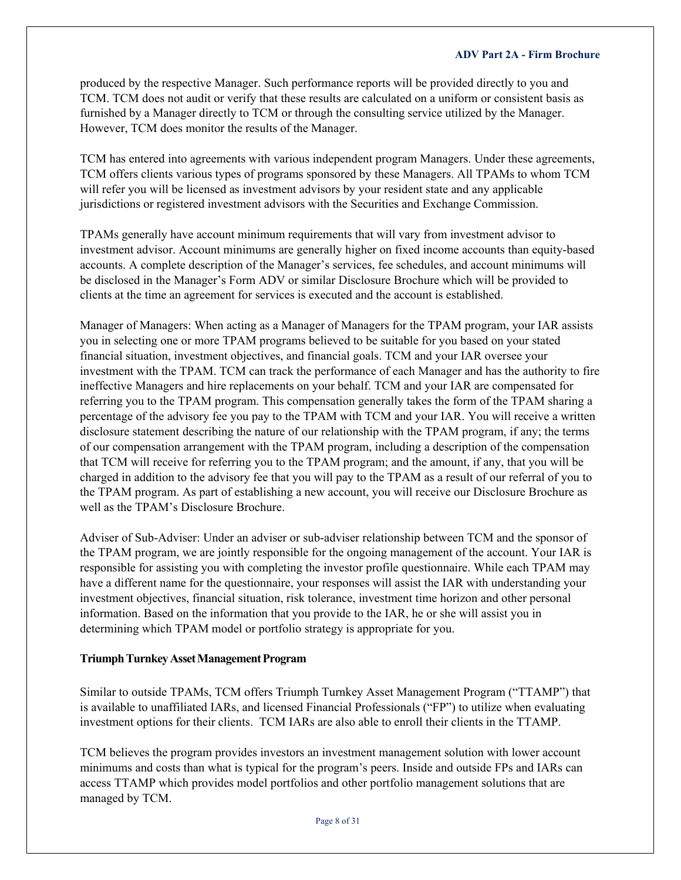produced by the respective Manager. Such performance reports will be provided directly to you and TCM. TCM does not audit or verify that these results are calculated on a uniform or consistent basis as furnished by a Manager directly to TCM or through the consulting service utilized by the Manager. However, TCM does monitor the results of the Manager.

TCM has entered into agreements with various independent program Managers. Under these agreements, TCM offers clients various types of programs sponsored by these Managers. All TPAMs to whom TCM will refer you will be licensed as investment advisors by your resident state and any applicable jurisdictions or registered investment advisors with the Securities and Exchange Commission.

TPAMs generally have account minimum requirements that will vary from investment advisor to investment advisor. Account minimums are generally higher on fixed income accounts than equity-based accounts. A complete description of the Manager's services, fee schedules, and account minimums will be disclosed in the Manager's Form ADV or similar Disclosure Brochure which will be provided to clients at the time an agreement for services is executed and the account is established.

Manager of Managers: When acting as a Manager of Managers for the TPAM program, your IAR assists you in selecting one or more TPAM programs believed to be suitable for you based on your stated financial situation, investment objectives, and financial goals. TCM and your IAR oversee your investment with the TPAM. TCM can track the performance of each Manager and has the authority to fire ineffective Managers and hire replacements on your behalf. TCM and your IAR are compensated for referring you to the TPAM program. This compensation generally takes the form of the TPAM sharing a percentage of the advisory fee you pay to the TPAM with TCM and your IAR. You will receive a written disclosure statement describing the nature of our relationship with the TPAM program, if any; the terms of our compensation arrangement with the TPAM program, including a description of the compensation that TCM will receive for referring you to the TPAM program; and the amount, if any, that you will be charged in addition to the advisory fee that you will pay to the TPAM as a result of our referral of you to the TPAM program. As part of establishing a new account, you will receive our Disclosure Brochure as well as the TPAM's Disclosure Brochure.

Adviser of Sub-Adviser: Under an adviser or sub-adviser relationship between TCM and the sponsor of the TPAM program, we are jointly responsible for the ongoing management of the account. Your IAR is responsible for assisting you with completing the investor profile questionnaire. While each TPAM may have a different name for the questionnaire, your responses will assist the IAR with understanding your investment objectives, financial situation, risk tolerance, investment time horizon and other personal information. Based on the information that you provide to the IAR, he or she will assist you in determining which TPAM model or portfolio strategy is appropriate for you.

## **Triumph Turnkey Asset Management Program**

Similar to outside TPAMs, TCM offers Triumph Turnkey Asset Management Program ("TTAMP") that is available to unaffiliated IARs, and licensed Financial Professionals ("FP") to utilize when evaluating investment options for their clients. TCM IARs are also able to enroll their clients in the TTAMP.

TCM believes the program provides investors an investment management solution with lower account minimums and costs than what is typical for the program's peers. Inside and outside FPs and IARs can access TTAMP which provides model portfolios and other portfolio management solutions that are managed by TCM.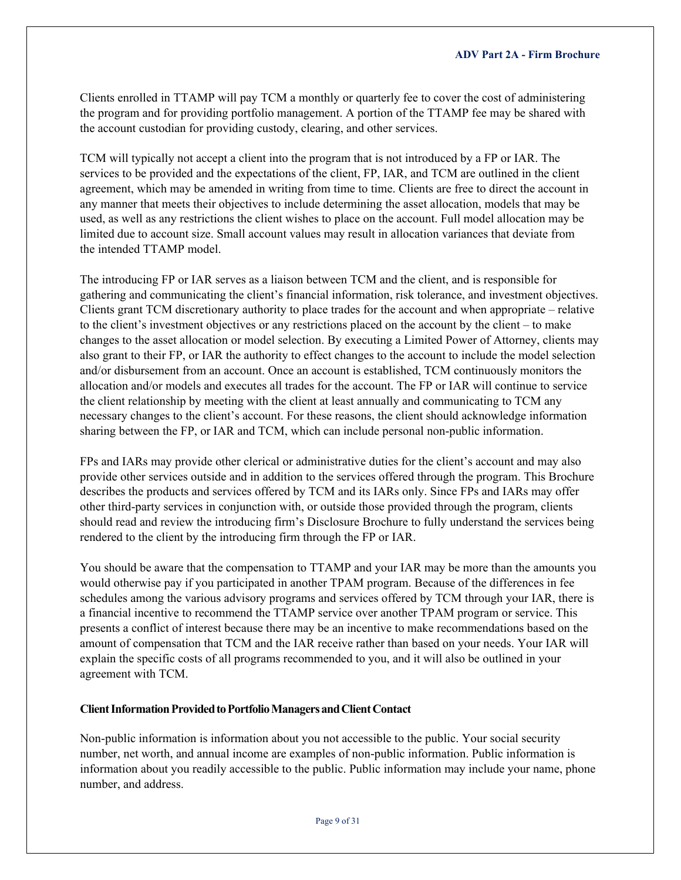Clients enrolled in TTAMP will pay TCM a monthly or quarterly fee to cover the cost of administering the program and for providing portfolio management. A portion of the TTAMP fee may be shared with the account custodian for providing custody, clearing, and other services.

TCM will typically not accept a client into the program that is not introduced by a FP or IAR. The services to be provided and the expectations of the client, FP, IAR, and TCM are outlined in the client agreement, which may be amended in writing from time to time. Clients are free to direct the account in any manner that meets their objectives to include determining the asset allocation, models that may be used, as well as any restrictions the client wishes to place on the account. Full model allocation may be limited due to account size. Small account values may result in allocation variances that deviate from the intended TTAMP model.

The introducing FP or IAR serves as a liaison between TCM and the client, and is responsible for gathering and communicating the client's financial information, risk tolerance, and investment objectives. Clients grant TCM discretionary authority to place trades for the account and when appropriate – relative to the client's investment objectives or any restrictions placed on the account by the client – to make changes to the asset allocation or model selection. By executing a Limited Power of Attorney, clients may also grant to their FP, or IAR the authority to effect changes to the account to include the model selection and/or disbursement from an account. Once an account is established, TCM continuously monitors the allocation and/or models and executes all trades for the account. The FP or IAR will continue to service the client relationship by meeting with the client at least annually and communicating to TCM any necessary changes to the client's account. For these reasons, the client should acknowledge information sharing between the FP, or IAR and TCM, which can include personal non-public information.

FPs and IARs may provide other clerical or administrative duties for the client's account and may also provide other services outside and in addition to the services offered through the program. This Brochure describes the products and services offered by TCM and its IARs only. Since FPs and IARs may offer other third-party services in conjunction with, or outside those provided through the program, clients should read and review the introducing firm's Disclosure Brochure to fully understand the services being rendered to the client by the introducing firm through the FP or IAR.

You should be aware that the compensation to TTAMP and your IAR may be more than the amounts you would otherwise pay if you participated in another TPAM program. Because of the differences in fee schedules among the various advisory programs and services offered by TCM through your IAR, there is a financial incentive to recommend the TTAMP service over another TPAM program or service. This presents a conflict of interest because there may be an incentive to make recommendations based on the amount of compensation that TCM and the IAR receive rather than based on your needs. Your IAR will explain the specific costs of all programs recommended to you, and it will also be outlined in your agreement with TCM.

### **Client Information Provided to Portfolio Managers and Client Contact**

Non-public information is information about you not accessible to the public. Your social security number, net worth, and annual income are examples of non-public information. Public information is information about you readily accessible to the public. Public information may include your name, phone number, and address.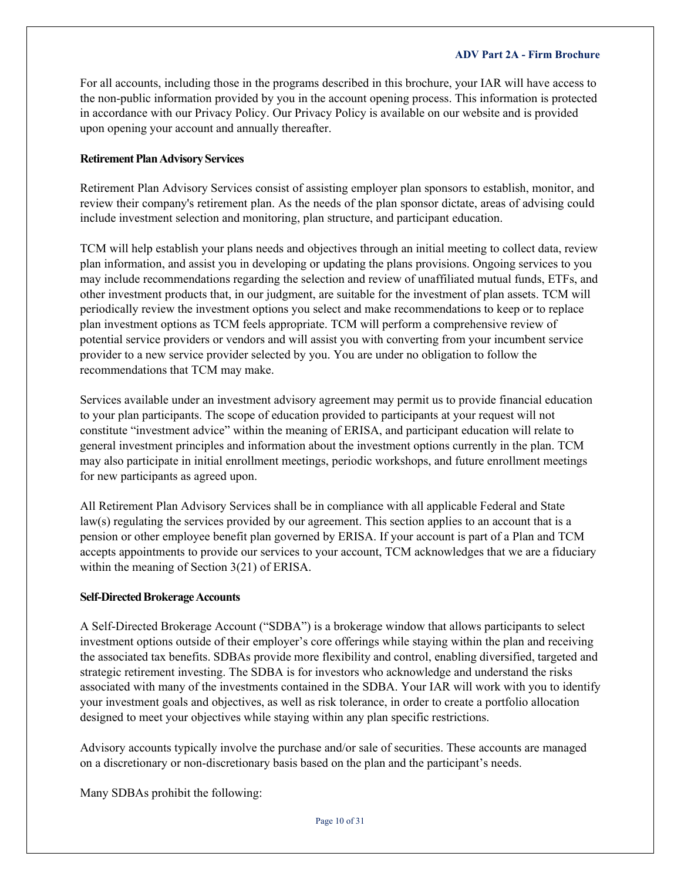For all accounts, including those in the programs described in this brochure, your IAR will have access to the non-public information provided by you in the account opening process. This information is protected in accordance with our Privacy Policy. Our Privacy Policy is available on our [website a](http://www.triumphcapitalmanagement.com/)nd is provided upon opening your account and annually thereafter.

## **Retirement Plan Advisory Services**

Retirement Plan Advisory Services consist of assisting employer plan sponsors to establish, monitor, and review their company's retirement plan. As the needs of the plan sponsor dictate, areas of advising could include investment selection and monitoring, plan structure, and participant education.

TCM will help establish your plans needs and objectives through an initial meeting to collect data, review plan information, and assist you in developing or updating the plans provisions. Ongoing services to you may include recommendations regarding the selection and review of unaffiliated mutual funds, ETFs, and other investment products that, in our judgment, are suitable for the investment of plan assets. TCM will periodically review the investment options you select and make recommendations to keep or to replace plan investment options as TCM feels appropriate. TCM will perform a comprehensive review of potential service providers or vendors and will assist you with converting from your incumbent service provider to a new service provider selected by you. You are under no obligation to follow the recommendations that TCM may make.

Services available under an investment advisory agreement may permit us to provide financial education to your plan participants. The scope of education provided to participants at your request will not constitute "investment advice" within the meaning of ERISA, and participant education will relate to general investment principles and information about the investment options currently in the plan. TCM may also participate in initial enrollment meetings, periodic workshops, and future enrollment meetings for new participants as agreed upon.

All Retirement Plan Advisory Services shall be in compliance with all applicable Federal and State law(s) regulating the services provided by our agreement. This section applies to an account that is a pension or other employee benefit plan governed by ERISA. If your account is part of a Plan and TCM accepts appointments to provide our services to your account, TCM acknowledges that we are a fiduciary within the meaning of Section 3(21) of ERISA.

## **Self-Directed Brokerage Accounts**

A Self-Directed Brokerage Account ("SDBA") is a brokerage window that allows participants to select investment options outside of their employer's core offerings while staying within the plan and receiving the associated tax benefits. SDBAs provide more flexibility and control, enabling diversified, targeted and strategic retirement investing. The SDBA is for investors who acknowledge and understand the risks associated with many of the investments contained in the SDBA. Your IAR will work with you to identify your investment goals and objectives, as well as risk tolerance, in order to create a portfolio allocation designed to meet your objectives while staying within any plan specific restrictions.

Advisory accounts typically involve the purchase and/or sale of securities. These accounts are managed on a discretionary or non-discretionary basis based on the plan and the participant's needs.

Many SDBAs prohibit the following: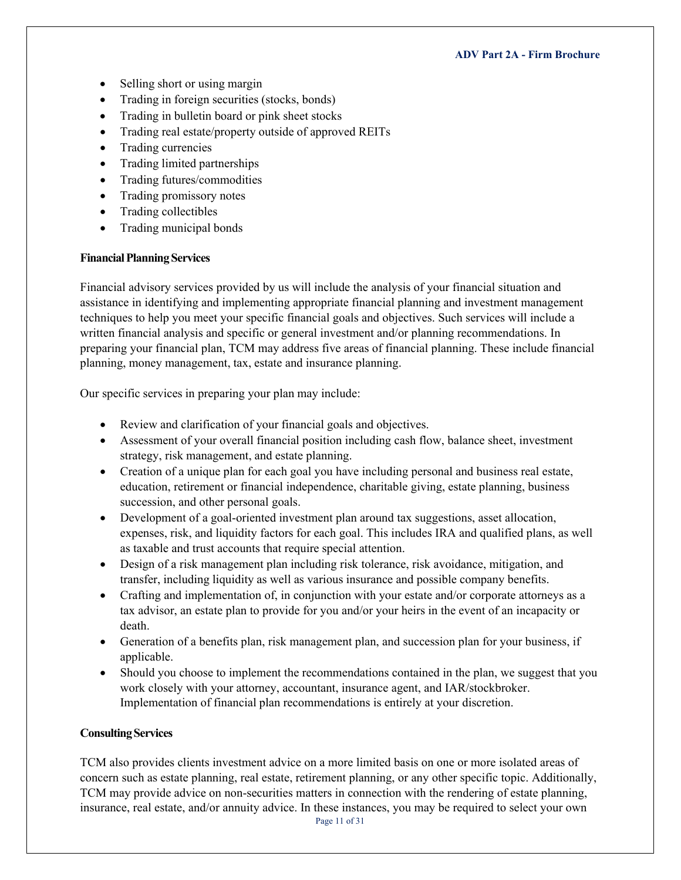- Selling short or using margin
- Trading in foreign securities (stocks, bonds)
- Trading in bulletin board or pink sheet stocks
- Trading real estate/property outside of approved REITs
- Trading currencies
- Trading limited partnerships
- Trading futures/commodities
- Trading promissory notes
- Trading collectibles
- Trading municipal bonds

## **FinancialPlanningServices**

Financial advisory services provided by us will include the analysis of your financial situation and assistance in identifying and implementing appropriate financial planning and investment management techniques to help you meet your specific financial goals and objectives. Such services will include a written financial analysis and specific or general investment and/or planning recommendations. In preparing your financial plan, TCM may address five areas of financial planning. These include financial planning, money management, tax, estate and insurance planning.

Our specific services in preparing your plan may include:

- Review and clarification of your financial goals and objectives.
- Assessment of your overall financial position including cash flow, balance sheet, investment strategy, risk management, and estate planning.
- Creation of a unique plan for each goal you have including personal and business real estate, education, retirement or financial independence, charitable giving, estate planning, business succession, and other personal goals.
- Development of a goal-oriented investment plan around tax suggestions, asset allocation, expenses, risk, and liquidity factors for each goal. This includes IRA and qualified plans, as well as taxable and trust accounts that require special attention.
- Design of a risk management plan including risk tolerance, risk avoidance, mitigation, and transfer, including liquidity as well as various insurance and possible company benefits.
- Crafting and implementation of, in conjunction with your estate and/or corporate attorneys as a tax advisor, an estate plan to provide for you and/or your heirs in the event of an incapacity or death.
- Generation of a benefits plan, risk management plan, and succession plan for your business, if applicable.
- Should you choose to implement the recommendations contained in the plan, we suggest that you work closely with your attorney, accountant, insurance agent, and IAR/stockbroker. Implementation of financial plan recommendations is entirely at your discretion.

## **Consulting Services**

TCM also provides clients investment advice on a more limited basis on one or more isolated areas of concern such as estate planning, real estate, retirement planning, or any other specific topic. Additionally, TCM may provide advice on non-securities matters in connection with the rendering of estate planning, insurance, real estate, and/or annuity advice. In these instances, you may be required to select your own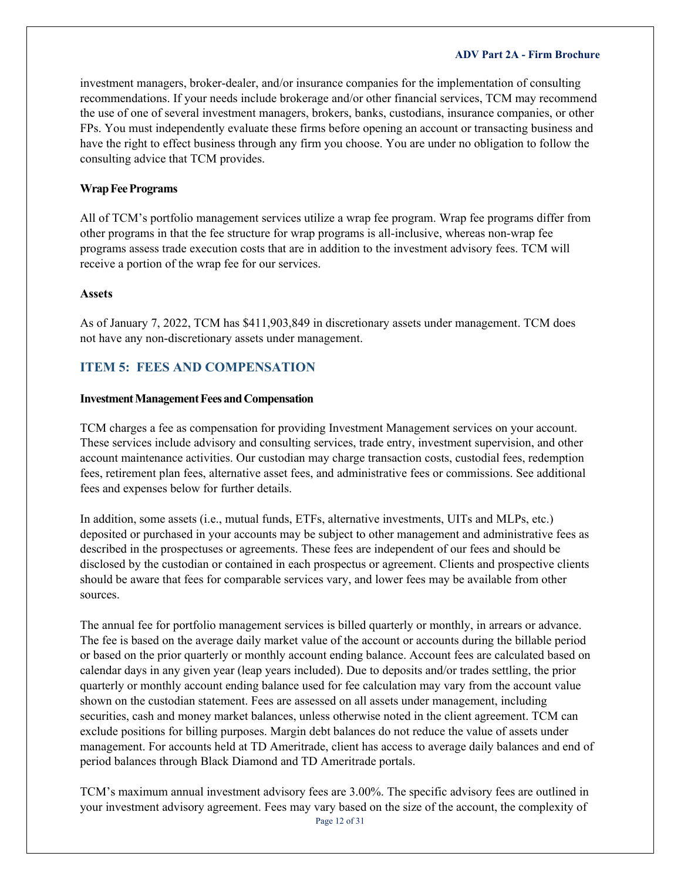investment managers, broker-dealer, and/or insurance companies for the implementation of consulting recommendations. If your needs include brokerage and/or other financial services, TCM may recommend the use of one of several investment managers, brokers, banks, custodians, insurance companies, or other FPs. You must independently evaluate these firms before opening an account or transacting business and have the right to effect business through any firm you choose. You are under no obligation to follow the consulting advice that TCM provides.

### **Wrap Fee Programs**

All of TCM's portfolio management services utilize a wrap fee program. Wrap fee programs differ from other programs in that the fee structure for wrap programs is all-inclusive, whereas non-wrap fee programs assess trade execution costs that are in addition to the investment advisory fees. TCM will receive a portion of the wrap fee for our services.

### **Assets**

As of January 7, 2022, TCM has \$411,903,849 in discretionary assets under management. TCM does not have any non-discretionary assets under management.

## <span id="page-11-0"></span>**ITEM 5: FEES AND COMPENSATION**

### **Investment Management Fees and Compensation**

TCM charges a fee as compensation for providing Investment Management services on your account. These services include advisory and consulting services, trade entry, investment supervision, and other account maintenance activities. Our custodian may charge transaction costs, custodial fees, redemption fees, retirement plan fees, alternative asset fees, and administrative fees or commissions. See additional fees and expenses below for further details.

In addition, some assets (i.e., mutual funds, ETFs, alternative investments, UITs and MLPs, etc.) deposited or purchased in your accounts may be subject to other management and administrative fees as described in the prospectuses or agreements. These fees are independent of our fees and should be disclosed by the custodian or contained in each prospectus or agreement. Clients and prospective clients should be aware that fees for comparable services vary, and lower fees may be available from other sources.

The annual fee for portfolio management services is billed quarterly or monthly, in arrears or advance. The fee is based on the average daily market value of the account or accounts during the billable period or based on the prior quarterly or monthly account ending balance. Account fees are calculated based on calendar days in any given year (leap years included). Due to deposits and/or trades settling, the prior quarterly or monthly account ending balance used for fee calculation may vary from the account value shown on the custodian statement. Fees are assessed on all assets under management, including securities, cash and money market balances, unless otherwise noted in the client agreement. TCM can exclude positions for billing purposes. Margin debt balances do not reduce the value of assets under management. For accounts held at TD Ameritrade, client has access to average daily balances and end of period balances through Black Diamond and TD Ameritrade portals.

TCM's maximum annual investment advisory fees are 3.00%. The specific advisory fees are outlined in your investment advisory agreement. Fees may vary based on the size of the account, the complexity of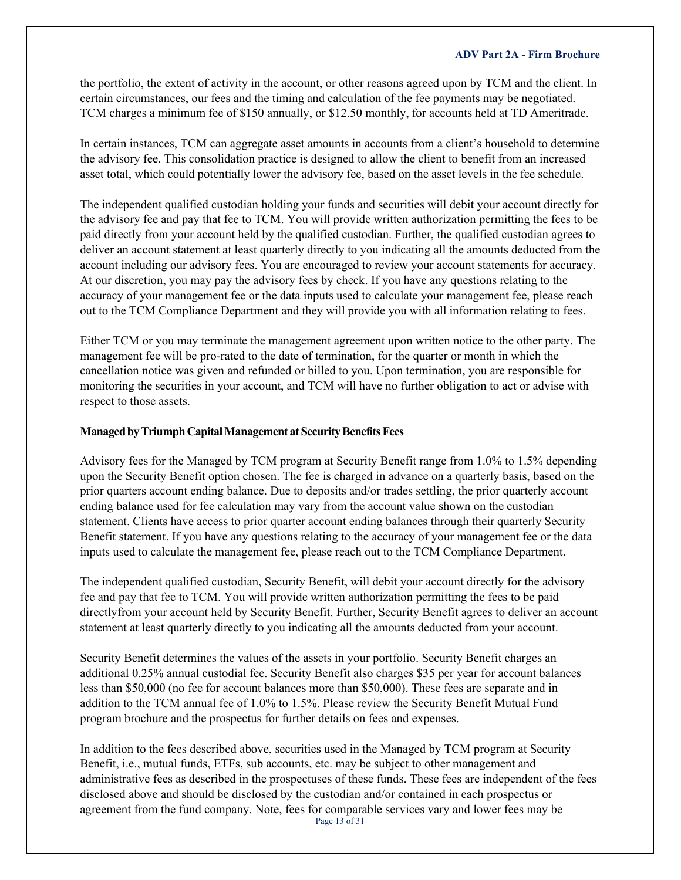the portfolio, the extent of activity in the account, or other reasons agreed upon by TCM and the client. In certain circumstances, our fees and the timing and calculation of the fee payments may be negotiated. TCM charges a minimum fee of \$150 annually, or \$12.50 monthly, for accounts held at TD Ameritrade.

In certain instances, TCM can aggregate asset amounts in accounts from a client's household to determine the advisory fee. This consolidation practice is designed to allow the client to benefit from an increased asset total, which could potentially lower the advisory fee, based on the asset levels in the fee schedule.

The independent qualified custodian holding your funds and securities will debit your account directly for the advisory fee and pay that fee to TCM. You will provide written authorization permitting the fees to be paid directly from your account held by the qualified custodian. Further, the qualified custodian agrees to deliver an account statement at least quarterly directly to you indicating all the amounts deducted from the account including our advisory fees. You are encouraged to review your account statements for accuracy. At our discretion, you may pay the advisory fees by check. If you have any questions relating to the accuracy of your management fee or the data inputs used to calculate your management fee, please reach out to the TCM Compliance Department and they will provide you with all information relating to fees.

Either TCM or you may terminate the management agreement upon written notice to the other party. The management fee will be pro-rated to the date of termination, for the quarter or month in which the cancellation notice was given and refunded or billed to you. Upon termination, you are responsible for monitoring the securities in your account, and TCM will have no further obligation to act or advise with respect to those assets.

## **ManagedbyTriumphCapitalManagementatSecurityBenefitsFees**

Advisory fees for the Managed by TCM program at Security Benefit range from 1.0% to 1.5% depending upon the Security Benefit option chosen. The fee is charged in advance on a quarterly basis, based on the prior quarters account ending balance. Due to deposits and/or trades settling, the prior quarterly account ending balance used for fee calculation may vary from the account value shown on the custodian statement. Clients have access to prior quarter account ending balances through their quarterly Security Benefit statement. If you have any questions relating to the accuracy of your management fee or the data inputs used to calculate the management fee, please reach out to the TCM Compliance Department.

The independent qualified custodian, Security Benefit, will debit your account directly for the advisory fee and pay that fee to TCM. You will provide written authorization permitting the fees to be paid directlyfrom your account held by Security Benefit. Further, Security Benefit agrees to deliver an account statement at least quarterly directly to you indicating all the amounts deducted from your account.

Security Benefit determines the values of the assets in your portfolio. Security Benefit charges an additional 0.25% annual custodial fee. Security Benefit also charges \$35 per year for account balances less than \$50,000 (no fee for account balances more than \$50,000). These fees are separate and in addition to the TCM annual fee of 1.0% to 1.5%. Please review the Security Benefit Mutual Fund program brochure and the prospectus for further details on fees and expenses.

Page 13 of 31 In addition to the fees described above, securities used in the Managed by TCM program at Security Benefit, i.e., mutual funds, ETFs, sub accounts, etc. may be subject to other management and administrative fees as described in the prospectuses of these funds. These fees are independent of the fees disclosed above and should be disclosed by the custodian and/or contained in each prospectus or agreement from the fund company. Note, fees for comparable services vary and lower fees may be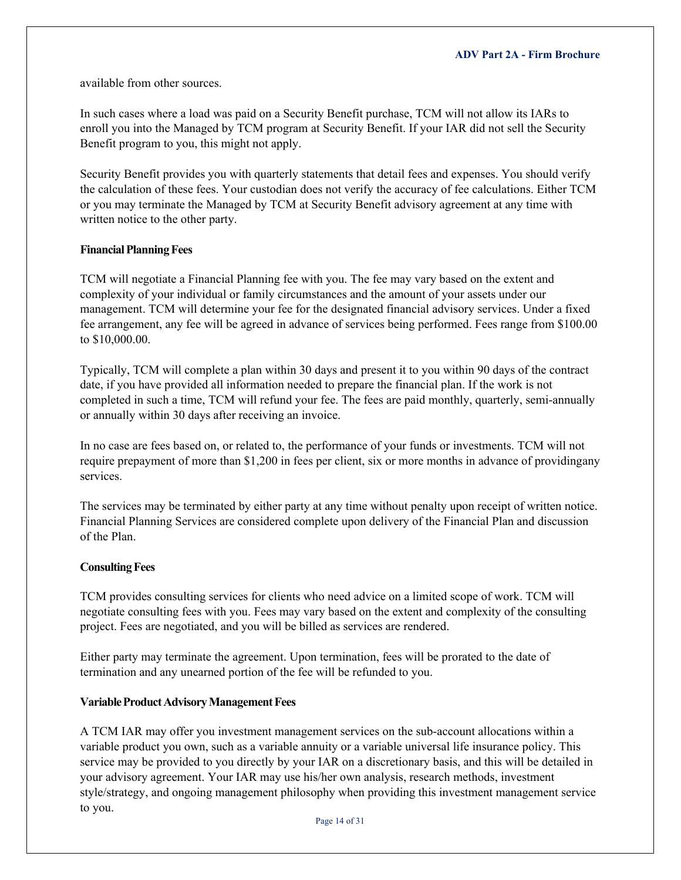available from other sources.

In such cases where a load was paid on a Security Benefit purchase, TCM will not allow its IARs to enroll you into the Managed by TCM program at Security Benefit. If your IAR did not sell the Security Benefit program to you, this might not apply.

Security Benefit provides you with quarterly statements that detail fees and expenses. You should verify the calculation of these fees. Your custodian does not verify the accuracy of fee calculations. Either TCM or you may terminate the Managed by TCM at Security Benefit advisory agreement at any time with written notice to the other party.

### **Financial Planning Fees**

TCM will negotiate a Financial Planning fee with you. The fee may vary based on the extent and complexity of your individual or family circumstances and the amount of your assets under our management. TCM will determine your fee for the designated financial advisory services. Under a fixed fee arrangement, any fee will be agreed in advance of services being performed. Fees range from \$100.00 to \$10,000.00.

Typically, TCM will complete a plan within 30 days and present it to you within 90 days of the contract date, if you have provided all information needed to prepare the financial plan. If the work is not completed in such a time, TCM will refund your fee. The fees are paid monthly, quarterly, semi-annually or annually within 30 days after receiving an invoice.

In no case are fees based on, or related to, the performance of your funds or investments. TCM will not require prepayment of more than \$1,200 in fees per client, six or more months in advance of providingany services.

The services may be terminated by either party at any time without penalty upon receipt of written notice. Financial Planning Services are considered complete upon delivery of the Financial Plan and discussion of the Plan.

#### **Consulting Fees**

TCM provides consulting services for clients who need advice on a limited scope of work. TCM will negotiate consulting fees with you. Fees may vary based on the extent and complexity of the consulting project. Fees are negotiated, and you will be billed as services are rendered.

Either party may terminate the agreement. Upon termination, fees will be prorated to the date of termination and any unearned portion of the fee will be refunded to you.

#### **Variable Product Advisory Management Fees**

A TCM IAR may offer you investment management services on the sub-account allocations within a variable product you own, such as a variable annuity or a variable universal life insurance policy. This service may be provided to you directly by your IAR on a discretionary basis, and this will be detailed in your advisory agreement. Your IAR may use his/her own analysis, research methods, investment style/strategy, and ongoing management philosophy when providing this investment management service to you.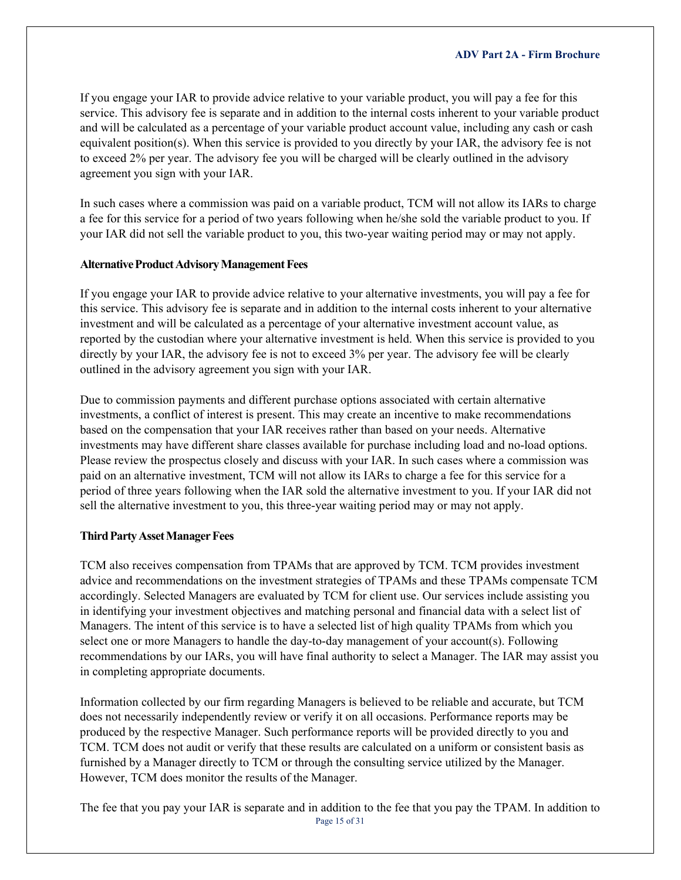If you engage your IAR to provide advice relative to your variable product, you will pay a fee for this service. This advisory fee is separate and in addition to the internal costs inherent to your variable product and will be calculated as a percentage of your variable product account value, including any cash or cash equivalent position(s). When this service is provided to you directly by your IAR, the advisory fee is not to exceed 2% per year. The advisory fee you will be charged will be clearly outlined in the advisory agreement you sign with your IAR.

In such cases where a commission was paid on a variable product, TCM will not allow its IARs to charge a fee for this service for a period of two years following when he/she sold the variable product to you. If your IAR did not sell the variable product to you, this two-year waiting period may or may not apply.

### **Alternative Product Advisory Management Fees**

If you engage your IAR to provide advice relative to your alternative investments, you will pay a fee for this service. This advisory fee is separate and in addition to the internal costs inherent to your alternative investment and will be calculated as a percentage of your alternative investment account value, as reported by the custodian where your alternative investment is held. When this service is provided to you directly by your IAR, the advisory fee is not to exceed 3% per year. The advisory fee will be clearly outlined in the advisory agreement you sign with your IAR.

Due to commission payments and different purchase options associated with certain alternative investments, a conflict of interest is present. This may create an incentive to make recommendations based on the compensation that your IAR receives rather than based on your needs. Alternative investments may have different share classes available for purchase including load and no-load options. Please review the prospectus closely and discuss with your IAR. In such cases where a commission was paid on an alternative investment, TCM will not allow its IARs to charge a fee for this service for a period of three years following when the IAR sold the alternative investment to you. If your IAR did not sell the alternative investment to you, this three-year waiting period may or may not apply.

## **Third Party Asset Manager Fees**

TCM also receives compensation from TPAMs that are approved by TCM. TCM provides investment advice and recommendations on the investment strategies of TPAMs and these TPAMs compensate TCM accordingly. Selected Managers are evaluated by TCM for client use. Our services include assisting you in identifying your investment objectives and matching personal and financial data with a select list of Managers. The intent of this service is to have a selected list of high quality TPAMs from which you select one or more Managers to handle the day-to-day management of your account(s). Following recommendations by our IARs, you will have final authority to select a Manager. The IAR may assist you in completing appropriate documents.

Information collected by our firm regarding Managers is believed to be reliable and accurate, but TCM does not necessarily independently review or verify it on all occasions. Performance reports may be produced by the respective Manager. Such performance reports will be provided directly to you and TCM. TCM does not audit or verify that these results are calculated on a uniform or consistent basis as furnished by a Manager directly to TCM or through the consulting service utilized by the Manager. However, TCM does monitor the results of the Manager.

Page 15 of 31 The fee that you pay your IAR is separate and in addition to the fee that you pay the TPAM. In addition to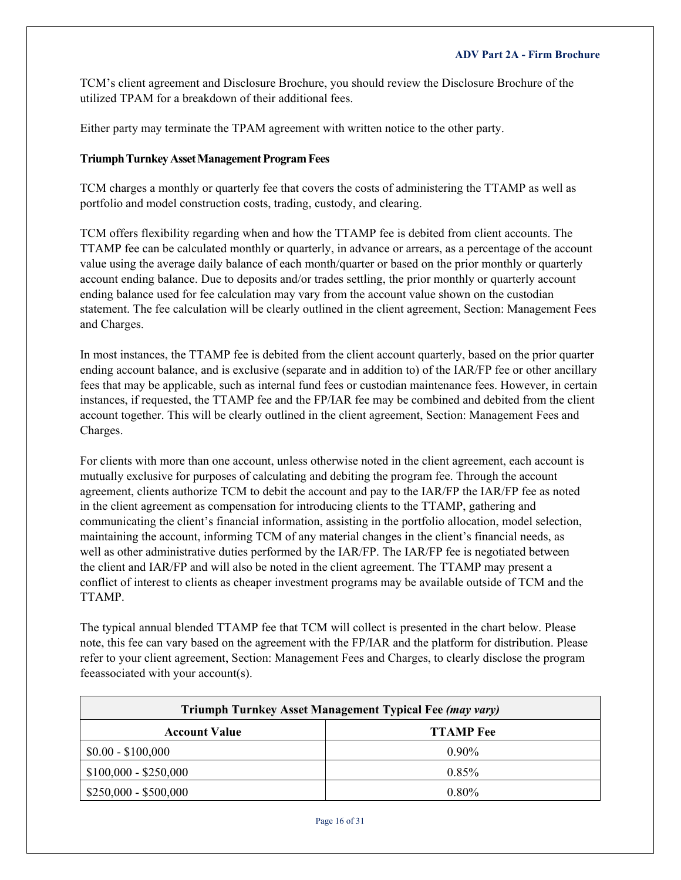TCM's client agreement and Disclosure Brochure, you should review the Disclosure Brochure of the utilized TPAM for a breakdown of their additional fees.

Either party may terminate the TPAM agreement with written notice to the other party.

## **Triumph Turnkey Asset Management Program Fees**

TCM charges a monthly or quarterly fee that covers the costs of administering the TTAMP as well as portfolio and model construction costs, trading, custody, and clearing.

TCM offers flexibility regarding when and how the TTAMP fee is debited from client accounts. The TTAMP fee can be calculated monthly or quarterly, in advance or arrears, as a percentage of the account value using the average daily balance of each month/quarter or based on the prior monthly or quarterly account ending balance. Due to deposits and/or trades settling, the prior monthly or quarterly account ending balance used for fee calculation may vary from the account value shown on the custodian statement. The fee calculation will be clearly outlined in the client agreement, Section: Management Fees and Charges.

In most instances, the TTAMP fee is debited from the client account quarterly, based on the prior quarter ending account balance, and is exclusive (separate and in addition to) of the IAR/FP fee or other ancillary fees that may be applicable, such as internal fund fees or custodian maintenance fees. However, in certain instances, if requested, the TTAMP fee and the FP/IAR fee may be combined and debited from the client account together. This will be clearly outlined in the client agreement, Section: Management Fees and Charges.

For clients with more than one account, unless otherwise noted in the client agreement, each account is mutually exclusive for purposes of calculating and debiting the program fee. Through the account agreement, clients authorize TCM to debit the account and pay to the IAR/FP the IAR/FP fee as noted in the client agreement as compensation for introducing clients to the TTAMP, gathering and communicating the client's financial information, assisting in the portfolio allocation, model selection, maintaining the account, informing TCM of any material changes in the client's financial needs, as well as other administrative duties performed by the IAR/FP. The IAR/FP fee is negotiated between the client and IAR/FP and will also be noted in the client agreement. The TTAMP may present a conflict of interest to clients as cheaper investment programs may be available outside of TCM and the TTAMP.

The typical annual blended TTAMP fee that TCM will collect is presented in the chart below. Please note, this fee can vary based on the agreement with the FP/IAR and the platform for distribution. Please refer to your client agreement, Section: Management Fees and Charges, to clearly disclose the program feeassociated with your account(s).

| Triumph Turnkey Asset Management Typical Fee (may vary) |                  |  |
|---------------------------------------------------------|------------------|--|
| <b>Account Value</b>                                    | <b>TTAMP</b> Fee |  |
| $$0.00 - $100,000$                                      | $0.90\%$         |  |
| $$100,000 - $250,000$                                   | $0.85\%$         |  |
| $$250,000 - $500,000$                                   | $0.80\%$         |  |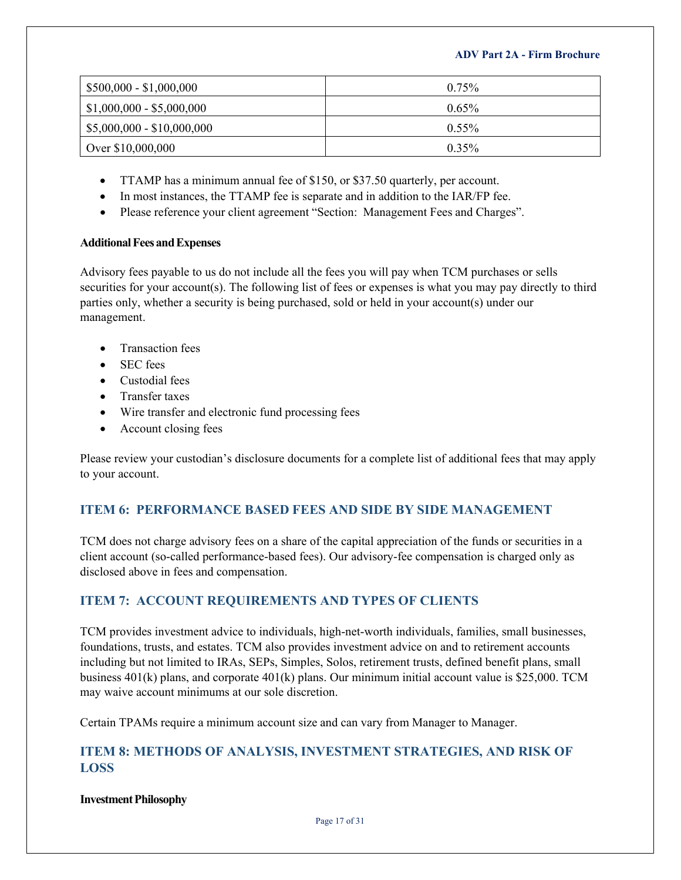| $$500,000 - $1,000,000$    | $0.75\%$ |
|----------------------------|----------|
| $$1,000,000 - $5,000,000$  | $0.65\%$ |
| $$5,000,000 - $10,000,000$ | $0.55\%$ |
| Over \$10,000,000          | $0.35\%$ |

- TTAMP has a minimum annual fee of \$150, or \$37.50 quarterly, per account.
- In most instances, the TTAMP fee is separate and in addition to the IAR/FP fee.
- Please reference your client agreement "Section: Management Fees and Charges".

## **AdditionalFeesandExpenses**

Advisory fees payable to us do not include all the fees you will pay when TCM purchases or sells securities for your account(s). The following list of fees or expenses is what you may pay directly to third parties only, whether a security is being purchased, sold or held in your account(s) under our management.

- Transaction fees
- SEC fees
- Custodial fees
- Transfer taxes
- Wire transfer and electronic fund processing fees
- Account closing fees

Please review your custodian's disclosure documents for a complete list of additional fees that may apply to your account.

## <span id="page-16-0"></span>**ITEM 6: PERFORMANCE BASED FEES AND SIDE BY SIDE MANAGEMENT**

TCM does not charge advisory fees on a share of the capital appreciation of the funds or securities in a client account (so-called performance-based fees). Our advisory-fee compensation is charged only as disclosed above in fees and compensation.

## <span id="page-16-1"></span>**ITEM 7: ACCOUNT REQUIREMENTS AND TYPES OF CLIENTS**

TCM provides investment advice to individuals, high-net-worth individuals, families, small businesses, foundations, trusts, and estates. TCM also provides investment advice on and to retirement accounts including but not limited to IRAs, SEPs, Simples, Solos, retirement trusts, defined benefit plans, small business 401(k) plans, and corporate 401(k) plans. Our minimum initial account value is \$25,000. TCM may waive account minimums at our sole discretion.

Certain TPAMs require a minimum account size and can vary from Manager to Manager.

## <span id="page-16-2"></span>**ITEM 8: METHODS OF ANALYSIS, INVESTMENT STRATEGIES, AND RISK OF LOSS**

**InvestmentPhilosophy**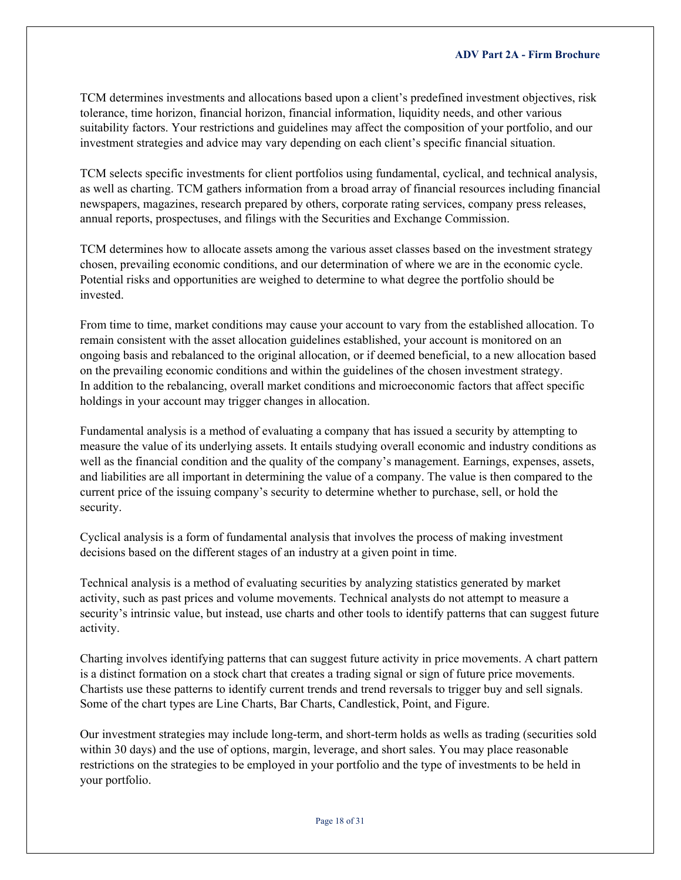TCM determines investments and allocations based upon a client's predefined investment objectives, risk tolerance, time horizon, financial horizon, financial information, liquidity needs, and other various suitability factors. Your restrictions and guidelines may affect the composition of your portfolio, and our investment strategies and advice may vary depending on each client's specific financial situation.

TCM selects specific investments for client portfolios using fundamental, cyclical, and technical analysis, as well as charting. TCM gathers information from a broad array of financial resources including financial newspapers, magazines, research prepared by others, corporate rating services, company press releases, annual reports, prospectuses, and filings with the Securities and Exchange Commission.

TCM determines how to allocate assets among the various asset classes based on the investment strategy chosen, prevailing economic conditions, and our determination of where we are in the economic cycle. Potential risks and opportunities are weighed to determine to what degree the portfolio should be invested.

From time to time, market conditions may cause your account to vary from the established allocation. To remain consistent with the asset allocation guidelines established, your account is monitored on an ongoing basis and rebalanced to the original allocation, or if deemed beneficial, to a new allocation based on the prevailing economic conditions and within the guidelines of the chosen investment strategy. In addition to the rebalancing, overall market conditions and microeconomic factors that affect specific holdings in your account may trigger changes in allocation.

Fundamental analysis is a method of evaluating a company that has issued a security by attempting to measure the value of its underlying assets. It entails studying overall economic and industry conditions as well as the financial condition and the quality of the company's management. Earnings, expenses, assets, and liabilities are all important in determining the value of a company. The value is then compared to the current price of the issuing company's security to determine whether to purchase, sell, or hold the security.

Cyclical analysis is a form of fundamental analysis that involves the process of making investment decisions based on the different stages of an industry at a given point in time.

Technical analysis is a method of evaluating securities by analyzing statistics generated by market activity, such as past prices and volume movements. Technical analysts do not attempt to measure a security's intrinsic value, but instead, use charts and other tools to identify patterns that can suggest future activity.

Charting involves identifying patterns that can suggest future activity in price movements. A chart pattern is a distinct formation on a stock chart that creates a trading signal or sign of future price movements. Chartists use these patterns to identify current trends and trend reversals to trigger buy and sell signals. Some of the chart types are Line Charts, Bar Charts, Candlestick, Point, and Figure.

Our investment strategies may include long-term, and short-term holds as wells as trading (securities sold within 30 days) and the use of options, margin, leverage, and short sales. You may place reasonable restrictions on the strategies to be employed in your portfolio and the type of investments to be held in your portfolio.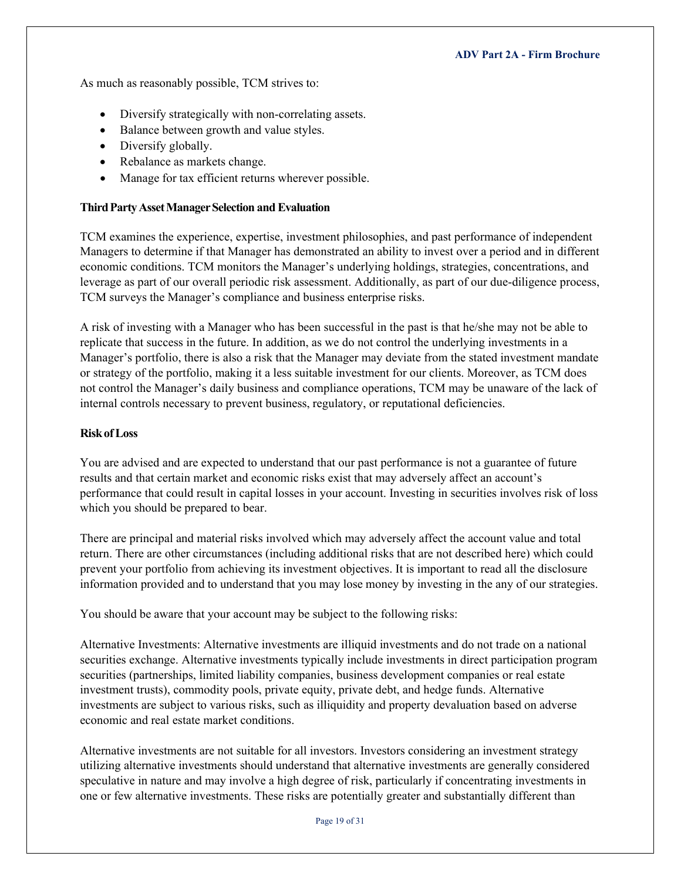As much as reasonably possible, TCM strives to:

- Diversify strategically with non-correlating assets.
- Balance between growth and value styles.
- Diversify globally.
- Rebalance as markets change.
- Manage for tax efficient returns wherever possible.

## **ThirdPartyAssetManagerSelection and Evaluation**

TCM examines the experience, expertise, investment philosophies, and past performance of independent Managers to determine if that Manager has demonstrated an ability to invest over a period and in different economic conditions. TCM monitors the Manager's underlying holdings, strategies, concentrations, and leverage as part of our overall periodic risk assessment. Additionally, as part of our due-diligence process, TCM surveys the Manager's compliance and business enterprise risks.

A risk of investing with a Manager who has been successful in the past is that he/she may not be able to replicate that success in the future. In addition, as we do not control the underlying investments in a Manager's portfolio, there is also a risk that the Manager may deviate from the stated investment mandate or strategy of the portfolio, making it a less suitable investment for our clients. Moreover, as TCM does not control the Manager's daily business and compliance operations, TCM may be unaware of the lack of internal controls necessary to prevent business, regulatory, or reputational deficiencies.

### **RiskofLoss**

You are advised and are expected to understand that our past performance is not a guarantee of future results and that certain market and economic risks exist that may adversely affect an account's performance that could result in capital losses in your account. Investing in securities involves risk of loss which you should be prepared to bear.

There are principal and material risks involved which may adversely affect the account value and total return. There are other circumstances (including additional risks that are not described here) which could prevent your portfolio from achieving its investment objectives. It is important to read all the disclosure information provided and to understand that you may lose money by investing in the any of our strategies.

You should be aware that your account may be subject to the following risks:

Alternative Investments: Alternative investments are illiquid investments and do not trade on a national securities exchange. Alternative investments typically include investments in direct participation program securities (partnerships, limited liability companies, business development companies or real estate investment trusts), commodity pools, private equity, private debt, and hedge funds. Alternative investments are subject to various risks, such as illiquidity and property devaluation based on adverse economic and real estate market conditions.

Alternative investments are not suitable for all investors. Investors considering an investment strategy utilizing alternative investments should understand that alternative investments are generally considered speculative in nature and may involve a high degree of risk, particularly if concentrating investments in one or few alternative investments. These risks are potentially greater and substantially different than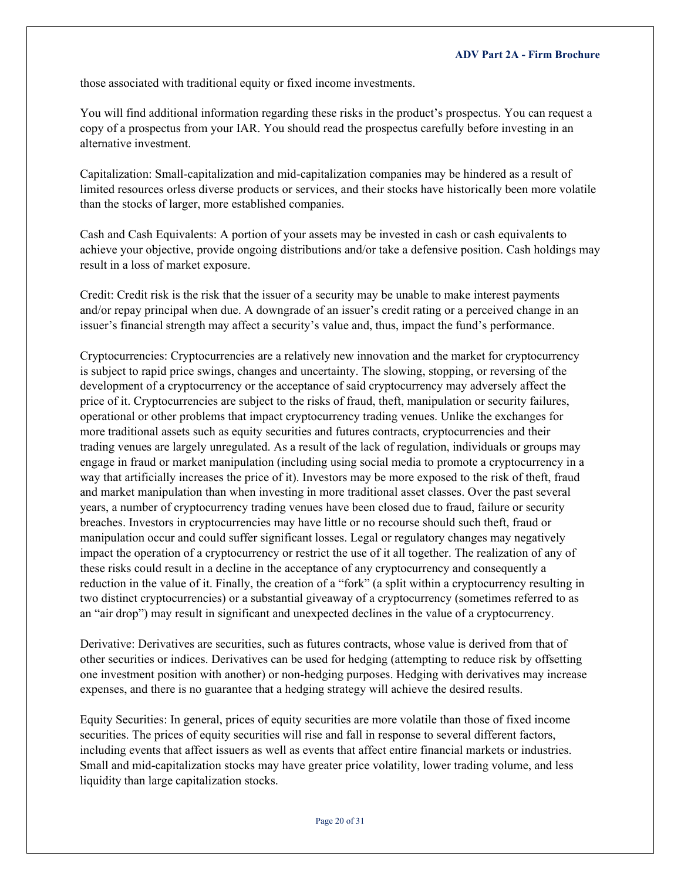those associated with traditional equity or fixed income investments.

You will find additional information regarding these risks in the product's prospectus. You can request a copy of a prospectus from your IAR. You should read the prospectus carefully before investing in an alternative investment.

Capitalization: Small-capitalization and mid-capitalization companies may be hindered as a result of limited resources orless diverse products or services, and their stocks have historically been more volatile than the stocks of larger, more established companies.

Cash and Cash Equivalents: A portion of your assets may be invested in cash or cash equivalents to achieve your objective, provide ongoing distributions and/or take a defensive position. Cash holdings may result in a loss of market exposure.

Credit: Credit risk is the risk that the issuer of a security may be unable to make interest payments and/or repay principal when due. A downgrade of an issuer's credit rating or a perceived change in an issuer's financial strength may affect a security's value and, thus, impact the fund's performance.

Cryptocurrencies: Cryptocurrencies are a relatively new innovation and the market for cryptocurrency is subject to rapid price swings, changes and uncertainty. The slowing, stopping, or reversing of the development of a cryptocurrency or the acceptance of said cryptocurrency may adversely affect the price of it. Cryptocurrencies are subject to the risks of fraud, theft, manipulation or security failures, operational or other problems that impact cryptocurrency trading venues. Unlike the exchanges for more traditional assets such as equity securities and futures contracts, cryptocurrencies and their trading venues are largely unregulated. As a result of the lack of regulation, individuals or groups may engage in fraud or market manipulation (including using social media to promote a cryptocurrency in a way that artificially increases the price of it). Investors may be more exposed to the risk of theft, fraud and market manipulation than when investing in more traditional asset classes. Over the past several years, a number of cryptocurrency trading venues have been closed due to fraud, failure or security breaches. Investors in cryptocurrencies may have little or no recourse should such theft, fraud or manipulation occur and could suffer significant losses. Legal or regulatory changes may negatively impact the operation of a cryptocurrency or restrict the use of it all together. The realization of any of these risks could result in a decline in the acceptance of any cryptocurrency and consequently a reduction in the value of it. Finally, the creation of a "fork" (a split within a cryptocurrency resulting in two distinct cryptocurrencies) or a substantial giveaway of a cryptocurrency (sometimes referred to as an "air drop") may result in significant and unexpected declines in the value of a cryptocurrency.

Derivative: Derivatives are securities, such as futures contracts, whose value is derived from that of other securities or indices. Derivatives can be used for hedging (attempting to reduce risk by offsetting one investment position with another) or non-hedging purposes. Hedging with derivatives may increase expenses, and there is no guarantee that a hedging strategy will achieve the desired results.

Equity Securities: In general, prices of equity securities are more volatile than those of fixed income securities. The prices of equity securities will rise and fall in response to several different factors, including events that affect issuers as well as events that affect entire financial markets or industries. Small and mid-capitalization stocks may have greater price volatility, lower trading volume, and less liquidity than large capitalization stocks.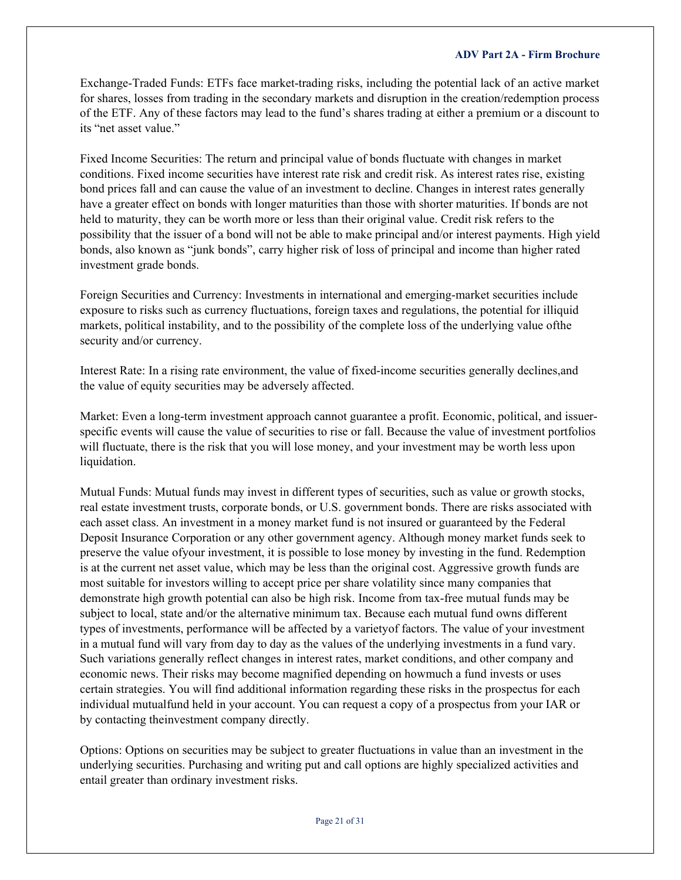Exchange-Traded Funds: ETFs face market-trading risks, including the potential lack of an active market for shares, losses from trading in the secondary markets and disruption in the creation/redemption process of the ETF. Any of these factors may lead to the fund's shares trading at either a premium or a discount to its "net asset value."

Fixed Income Securities: The return and principal value of bonds fluctuate with changes in market conditions. Fixed income securities have interest rate risk and credit risk. As interest rates rise, existing bond prices fall and can cause the value of an investment to decline. Changes in interest rates generally have a greater effect on bonds with longer maturities than those with shorter maturities. If bonds are not held to maturity, they can be worth more or less than their original value. Credit risk refers to the possibility that the issuer of a bond will not be able to make principal and/or interest payments. High yield bonds, also known as "junk bonds", carry higher risk of loss of principal and income than higher rated investment grade bonds.

Foreign Securities and Currency: Investments in international and emerging-market securities include exposure to risks such as currency fluctuations, foreign taxes and regulations, the potential for illiquid markets, political instability, and to the possibility of the complete loss of the underlying value ofthe security and/or currency.

Interest Rate: In a rising rate environment, the value of fixed-income securities generally declines,and the value of equity securities may be adversely affected.

Market: Even a long-term investment approach cannot guarantee a profit. Economic, political, and issuerspecific events will cause the value of securities to rise or fall. Because the value of investment portfolios will fluctuate, there is the risk that you will lose money, and your investment may be worth less upon liquidation.

Mutual Funds: Mutual funds may invest in different types of securities, such as value or growth stocks, real estate investment trusts, corporate bonds, or U.S. government bonds. There are risks associated with each asset class. An investment in a money market fund is not insured or guaranteed by the Federal Deposit Insurance Corporation or any other government agency. Although money market funds seek to preserve the value ofyour investment, it is possible to lose money by investing in the fund. Redemption is at the current net asset value, which may be less than the original cost. Aggressive growth funds are most suitable for investors willing to accept price per share volatility since many companies that demonstrate high growth potential can also be high risk. Income from tax-free mutual funds may be subject to local, state and/or the alternative minimum tax. Because each mutual fund owns different types of investments, performance will be affected by a varietyof factors. The value of your investment in a mutual fund will vary from day to day as the values of the underlying investments in a fund vary. Such variations generally reflect changes in interest rates, market conditions, and other company and economic news. Their risks may become magnified depending on howmuch a fund invests or uses certain strategies. You will find additional information regarding these risks in the prospectus for each individual mutualfund held in your account. You can request a copy of a prospectus from your IAR or by contacting theinvestment company directly.

Options: Options on securities may be subject to greater fluctuations in value than an investment in the underlying securities. Purchasing and writing put and call options are highly specialized activities and entail greater than ordinary investment risks.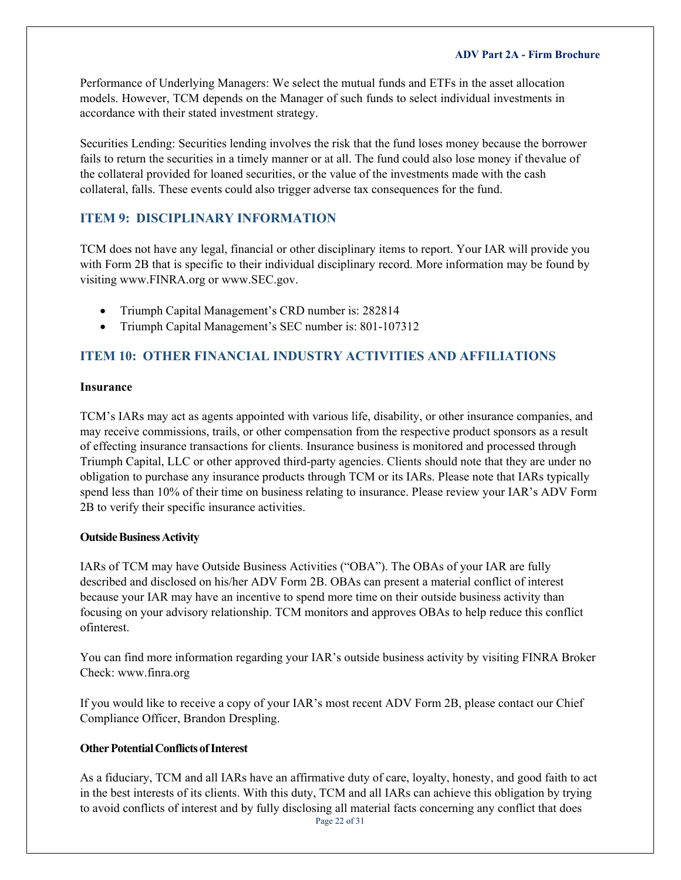Performance of Underlying Managers: We select the mutual funds and ETFs in the asset allocation models. However, TCM depends on the Manager of such funds to select individual investments in accordance with their stated investment strategy.

Securities Lending: Securities lending involves the risk that the fund loses money because the borrower fails to return the securities in a timely manner or at all. The fund could also lose money if thevalue of the collateral provided for loaned securities, or the value of the investments made with the cash collateral, falls. These events could also trigger adverse tax consequences for the fund.

## <span id="page-21-0"></span>**ITEM 9: DISCIPLINARY INFORMATION**

TCM does not have any legal, financial or other disciplinary items to report. Your IAR will provide you with Form 2B that is specific to their individual disciplinary record. More information may be found by visiting [www.FINRA.org o](http://www.finra.org/)r [www.SEC.gov.](http://www.sec.gov/)

- Triumph Capital Management's CRD number is: 282814
- Triumph Capital Management's SEC number is: 801-107312

## <span id="page-21-1"></span>**ITEM 10: OTHER FINANCIAL INDUSTRY ACTIVITIES AND AFFILIATIONS**

### **Insurance**

TCM's IARs may act as agents appointed with various life, disability, or other insurance companies, and may receive commissions, trails, or other compensation from the respective product sponsors as a result of effecting insurance transactions for clients. Insurance business is monitored and processed through Triumph Capital, LLC or other approved third-party agencies. Clients should note that they are under no obligation to purchase any insurance products through TCM or its IARs. Please note that IARs typically spend less than 10% of their time on business relating to insurance. Please review your IAR's ADV Form 2B to verify their specific insurance activities.

## **Outside Business Activity**

IARs of TCM may have Outside Business Activities ("OBA"). The OBAs of your IAR are fully described and disclosed on his/her ADV Form 2B. OBAs can present a material conflict of interest because your IAR may have an incentive to spend more time on their outside business activity than focusing on your advisory relationship. TCM monitors and approves OBAs to help reduce this conflict ofinterest.

You can find more information regarding your IAR's outside business activity by visiting FINRA Broker Check: [www.finra.org](http://www.finra.org/)

If you would like to receive a copy of your IAR's most recent ADV Form 2B, please contact our Chief Compliance Officer, Brandon Drespling.

## **Other Potential Conflicts of Interest**

As a fiduciary, TCM and all IARs have an affirmative duty of care, loyalty, honesty, and good faith to act in the best interests of its clients. With this duty, TCM and all IARs can achieve this obligation by trying to avoid conflicts of interest and by fully disclosing all material facts concerning any conflict that does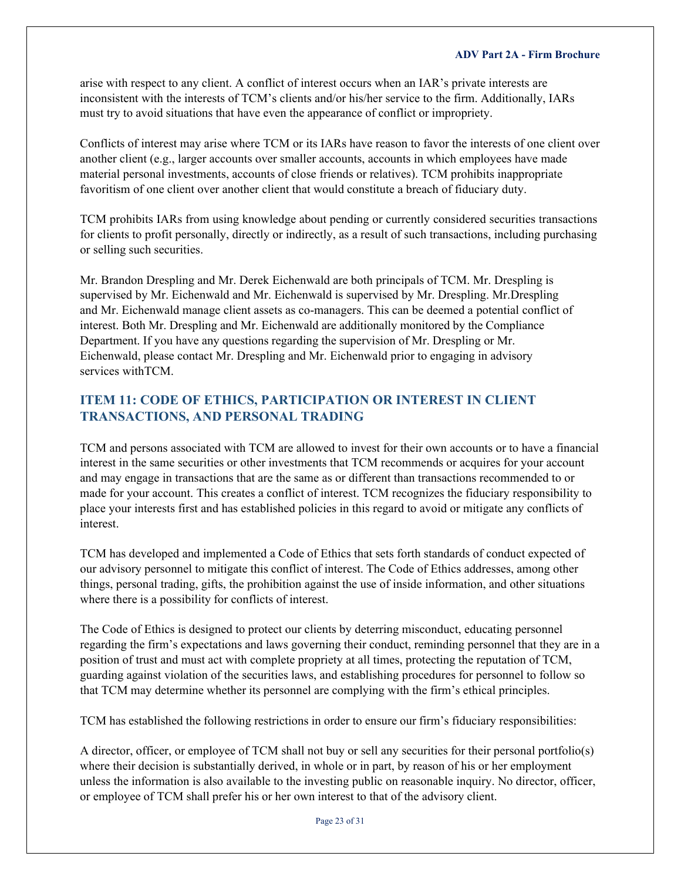arise with respect to any client. A conflict of interest occurs when an IAR's private interests are inconsistent with the interests of TCM's clients and/or his/her service to the firm. Additionally, IARs must try to avoid situations that have even the appearance of conflict or impropriety.

Conflicts of interest may arise where TCM or its IARs have reason to favor the interests of one client over another client (e.g., larger accounts over smaller accounts, accounts in which employees have made material personal investments, accounts of close friends or relatives). TCM prohibits inappropriate favoritism of one client over another client that would constitute a breach of fiduciary duty.

TCM prohibits IARs from using knowledge about pending or currently considered securities transactions for clients to profit personally, directly or indirectly, as a result of such transactions, including purchasing or selling such securities.

Mr. Brandon Drespling and Mr. Derek Eichenwald are both principals of TCM. Mr. Drespling is supervised by Mr. Eichenwald and Mr. Eichenwald is supervised by Mr. Drespling. Mr.Drespling and Mr. Eichenwald manage client assets as co-managers. This can be deemed a potential conflict of interest. Both Mr. Drespling and Mr. Eichenwald are additionally monitored by the Compliance Department. If you have any questions regarding the supervision of Mr. Drespling or Mr. Eichenwald, please contact Mr. Drespling and Mr. Eichenwald prior to engaging in advisory services withTCM.

## <span id="page-22-0"></span>**ITEM 11: CODE OF ETHICS, PARTICIPATION OR INTEREST IN CLIENT TRANSACTIONS, AND PERSONAL TRADING**

TCM and persons associated with TCM are allowed to invest for their own accounts or to have a financial interest in the same securities or other investments that TCM recommends or acquires for your account and may engage in transactions that are the same as or different than transactions recommended to or made for your account. This creates a conflict of interest. TCM recognizes the fiduciary responsibility to place your interests first and has established policies in this regard to avoid or mitigate any conflicts of interest.

TCM has developed and implemented a Code of Ethics that sets forth standards of conduct expected of our advisory personnel to mitigate this conflict of interest. The Code of Ethics addresses, among other things, personal trading, gifts, the prohibition against the use of inside information, and other situations where there is a possibility for conflicts of interest.

The Code of Ethics is designed to protect our clients by deterring misconduct, educating personnel regarding the firm's expectations and laws governing their conduct, reminding personnel that they are in a position of trust and must act with complete propriety at all times, protecting the reputation of TCM, guarding against violation of the securities laws, and establishing procedures for personnel to follow so that TCM may determine whether its personnel are complying with the firm's ethical principles.

TCM has established the following restrictions in order to ensure our firm's fiduciary responsibilities:

A director, officer, or employee of TCM shall not buy or sell any securities for their personal portfolio(s) where their decision is substantially derived, in whole or in part, by reason of his or her employment unless the information is also available to the investing public on reasonable inquiry. No director, officer, or employee of TCM shall prefer his or her own interest to that of the advisory client.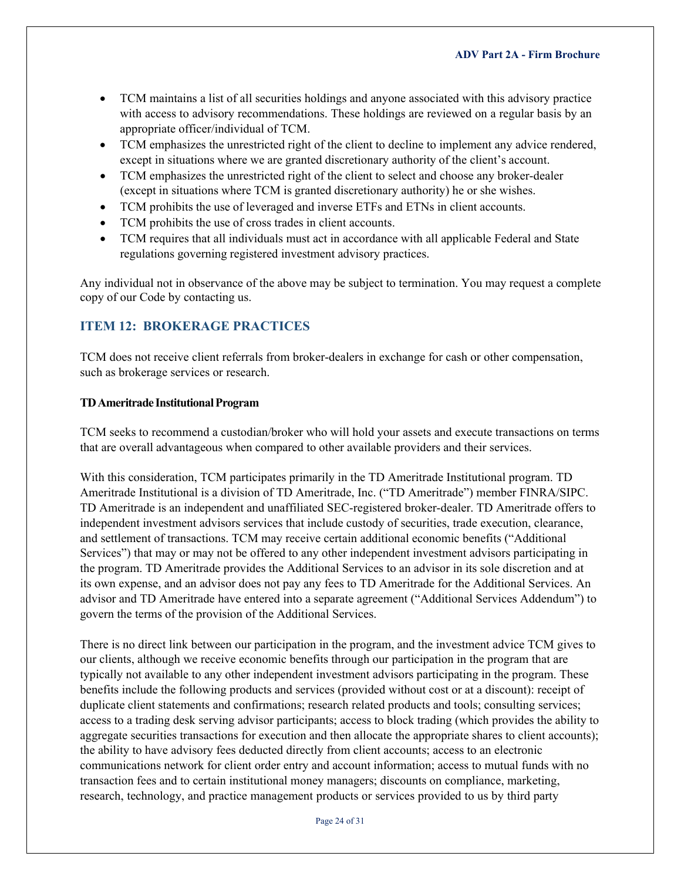- TCM maintains a list of all securities holdings and anyone associated with this advisory practice with access to advisory recommendations. These holdings are reviewed on a regular basis by an appropriate officer/individual of TCM.
- TCM emphasizes the unrestricted right of the client to decline to implement any advice rendered, except in situations where we are granted discretionary authority of the client's account.
- TCM emphasizes the unrestricted right of the client to select and choose any broker-dealer (except in situations where TCM is granted discretionary authority) he or she wishes.
- TCM prohibits the use of leveraged and inverse ETFs and ETNs in client accounts.
- TCM prohibits the use of cross trades in client accounts.
- TCM requires that all individuals must act in accordance with all applicable Federal and State regulations governing registered investment advisory practices.

Any individual not in observance of the above may be subject to termination. You may request a complete copy of our Code by contacting us.

## <span id="page-23-0"></span>**ITEM 12: BROKERAGE PRACTICES**

TCM does not receive client referrals from broker-dealers in exchange for cash or other compensation, such as brokerage services or research.

## **TDAmeritrade InstitutionalProgram**

TCM seeks to recommend a custodian/broker who will hold your assets and execute transactions on terms that are overall advantageous when compared to other available providers and their services.

With this consideration, TCM participates primarily in the TD Ameritrade Institutional program. TD Ameritrade Institutional is a division of TD Ameritrade, Inc. ("TD Ameritrade") member FINRA/SIPC. TD Ameritrade is an independent and unaffiliated SEC-registered broker-dealer. TD Ameritrade offers to independent investment advisors services that include custody of securities, trade execution, clearance, and settlement of transactions. TCM may receive certain additional economic benefits ("Additional Services") that may or may not be offered to any other independent investment advisors participating in the program. TD Ameritrade provides the Additional Services to an advisor in its sole discretion and at its own expense, and an advisor does not pay any fees to TD Ameritrade for the Additional Services. An advisor and TD Ameritrade have entered into a separate agreement ("Additional Services Addendum") to govern the terms of the provision of the Additional Services.

There is no direct link between our participation in the program, and the investment advice TCM gives to our clients, although we receive economic benefits through our participation in the program that are typically not available to any other independent investment advisors participating in the program. These benefits include the following products and services (provided without cost or at a discount): receipt of duplicate client statements and confirmations; research related products and tools; consulting services; access to a trading desk serving advisor participants; access to block trading (which provides the ability to aggregate securities transactions for execution and then allocate the appropriate shares to client accounts); the ability to have advisory fees deducted directly from client accounts; access to an electronic communications network for client order entry and account information; access to mutual funds with no transaction fees and to certain institutional money managers; discounts on compliance, marketing, research, technology, and practice management products or services provided to us by third party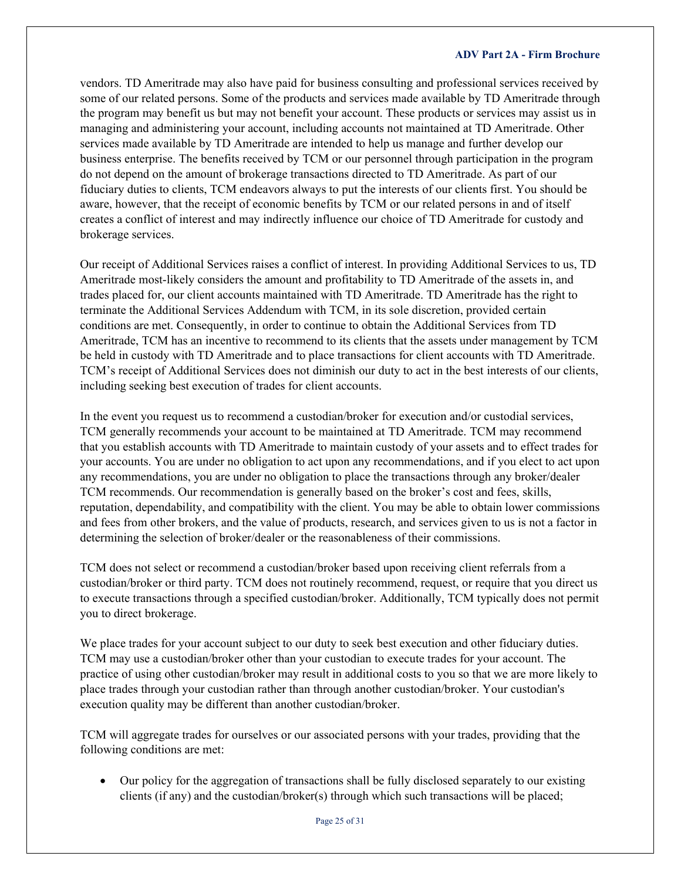vendors. TD Ameritrade may also have paid for business consulting and professional services received by some of our related persons. Some of the products and services made available by TD Ameritrade through the program may benefit us but may not benefit your account. These products or services may assist us in managing and administering your account, including accounts not maintained at TD Ameritrade. Other services made available by TD Ameritrade are intended to help us manage and further develop our business enterprise. The benefits received by TCM or our personnel through participation in the program do not depend on the amount of brokerage transactions directed to TD Ameritrade. As part of our fiduciary duties to clients, TCM endeavors always to put the interests of our clients first. You should be aware, however, that the receipt of economic benefits by TCM or our related persons in and of itself creates a conflict of interest and may indirectly influence our choice of TD Ameritrade for custody and brokerage services.

Our receipt of Additional Services raises a conflict of interest. In providing Additional Services to us, TD Ameritrade most-likely considers the amount and profitability to TD Ameritrade of the assets in, and trades placed for, our client accounts maintained with TD Ameritrade. TD Ameritrade has the right to terminate the Additional Services Addendum with TCM, in its sole discretion, provided certain conditions are met. Consequently, in order to continue to obtain the Additional Services from TD Ameritrade, TCM has an incentive to recommend to its clients that the assets under management by TCM be held in custody with TD Ameritrade and to place transactions for client accounts with TD Ameritrade. TCM's receipt of Additional Services does not diminish our duty to act in the best interests of our clients, including seeking best execution of trades for client accounts.

In the event you request us to recommend a custodian/broker for execution and/or custodial services, TCM generally recommends your account to be maintained at TD Ameritrade. TCM may recommend that you establish accounts with TD Ameritrade to maintain custody of your assets and to effect trades for your accounts. You are under no obligation to act upon any recommendations, and if you elect to act upon any recommendations, you are under no obligation to place the transactions through any broker/dealer TCM recommends. Our recommendation is generally based on the broker's cost and fees, skills, reputation, dependability, and compatibility with the client. You may be able to obtain lower commissions and fees from other brokers, and the value of products, research, and services given to us is not a factor in determining the selection of broker/dealer or the reasonableness of their commissions.

TCM does not select or recommend a custodian/broker based upon receiving client referrals from a custodian/broker or third party. TCM does not routinely recommend, request, or require that you direct us to execute transactions through a specified custodian/broker. Additionally, TCM typically does not permit you to direct brokerage.

We place trades for your account subject to our duty to seek best execution and other fiduciary duties. TCM may use a custodian/broker other than your custodian to execute trades for your account. The practice of using other custodian/broker may result in additional costs to you so that we are more likely to place trades through your custodian rather than through another custodian/broker. Your custodian's execution quality may be different than another custodian/broker.

TCM will aggregate trades for ourselves or our associated persons with your trades, providing that the following conditions are met:

• Our policy for the aggregation of transactions shall be fully disclosed separately to our existing clients (if any) and the custodian/broker(s) through which such transactions will be placed;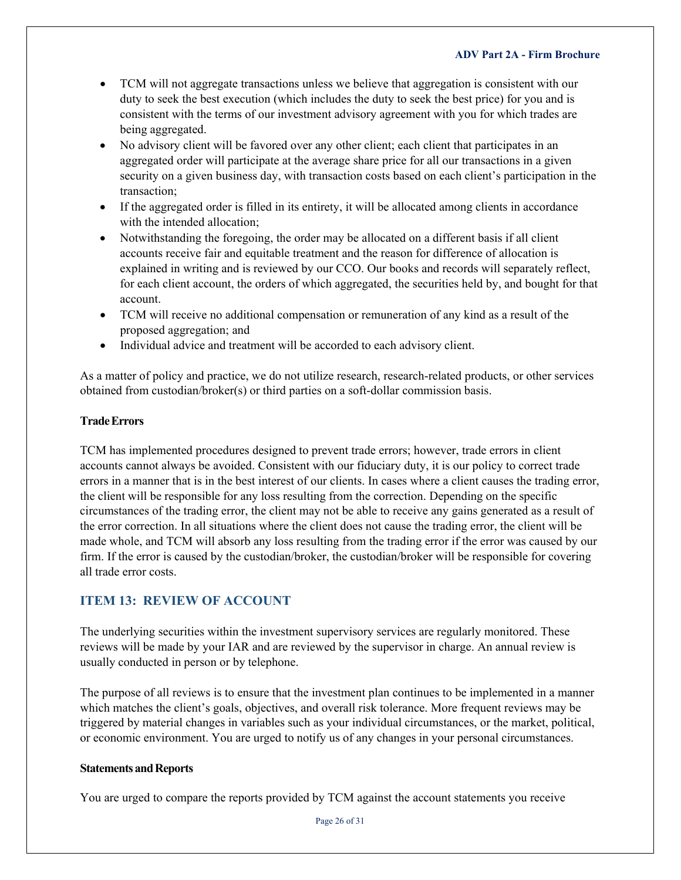- TCM will not aggregate transactions unless we believe that aggregation is consistent with our duty to seek the best execution (which includes the duty to seek the best price) for you and is consistent with the terms of our investment advisory agreement with you for which trades are being aggregated.
- No advisory client will be favored over any other client; each client that participates in an aggregated order will participate at the average share price for all our transactions in a given security on a given business day, with transaction costs based on each client's participation in the transaction;
- If the aggregated order is filled in its entirety, it will be allocated among clients in accordance with the intended allocation;
- Notwithstanding the foregoing, the order may be allocated on a different basis if all client accounts receive fair and equitable treatment and the reason for difference of allocation is explained in writing and is reviewed by our CCO. Our books and records will separately reflect, for each client account, the orders of which aggregated, the securities held by, and bought for that account.
- TCM will receive no additional compensation or remuneration of any kind as a result of the proposed aggregation; and
- Individual advice and treatment will be accorded to each advisory client.

As a matter of policy and practice, we do not utilize research, research-related products, or other services obtained from custodian/broker(s) or third parties on a soft-dollar commission basis.

## **TradeErrors**

TCM has implemented procedures designed to prevent trade errors; however, trade errors in client accounts cannot always be avoided. Consistent with our fiduciary duty, it is our policy to correct trade errors in a manner that is in the best interest of our clients. In cases where a client causes the trading error, the client will be responsible for any loss resulting from the correction. Depending on the specific circumstances of the trading error, the client may not be able to receive any gains generated as a result of the error correction. In all situations where the client does not cause the trading error, the client will be made whole, and TCM will absorb any loss resulting from the trading error if the error was caused by our firm. If the error is caused by the custodian/broker, the custodian/broker will be responsible for covering all trade error costs.

## <span id="page-25-0"></span>**ITEM 13: REVIEW OF ACCOUNT**

The underlying securities within the investment supervisory services are regularly monitored. These reviews will be made by your IAR and are reviewed by the supervisor in charge. An annual review is usually conducted in person or by telephone.

The purpose of all reviews is to ensure that the investment plan continues to be implemented in a manner which matches the client's goals, objectives, and overall risk tolerance. More frequent reviews may be triggered by material changes in variables such as your individual circumstances, or the market, political, or economic environment. You are urged to notify us of any changes in your personal circumstances.

## **Statements and Reports**

You are urged to compare the reports provided by TCM against the account statements you receive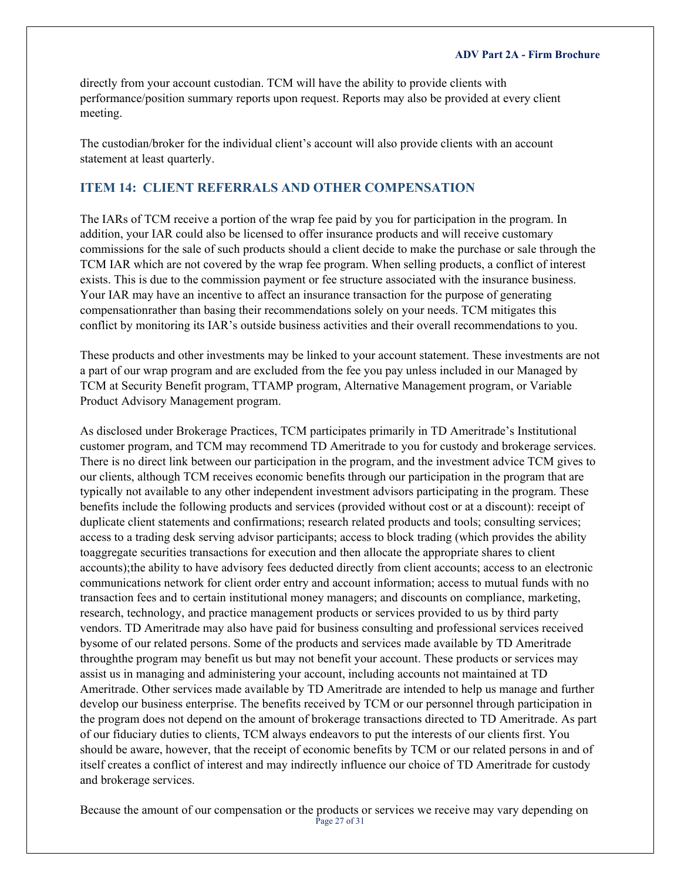directly from your account custodian. TCM will have the ability to provide clients with performance/position summary reports upon request. Reports may also be provided at every client meeting.

The custodian/broker for the individual client's account will also provide clients with an account statement at least quarterly.

## <span id="page-26-0"></span>**ITEM 14: CLIENT REFERRALS AND OTHER COMPENSATION**

The IARs of TCM receive a portion of the wrap fee paid by you for participation in the program. In addition, your IAR could also be licensed to offer insurance products and will receive customary commissions for the sale of such products should a client decide to make the purchase or sale through the TCM IAR which are not covered by the wrap fee program. When selling products, a conflict of interest exists. This is due to the commission payment or fee structure associated with the insurance business. Your IAR may have an incentive to affect an insurance transaction for the purpose of generating compensationrather than basing their recommendations solely on your needs. TCM mitigates this conflict by monitoring its IAR's outside business activities and their overall recommendations to you.

These products and other investments may be linked to your account statement. These investments are not a part of our wrap program and are excluded from the fee you pay unless included in our Managed by TCM at Security Benefit program, TTAMP program, Alternative Management program, or Variable Product Advisory Management program.

As disclosed under Brokerage Practices, TCM participates primarily in TD Ameritrade's Institutional customer program, and TCM may recommend TD Ameritrade to you for custody and brokerage services. There is no direct link between our participation in the program, and the investment advice TCM gives to our clients, although TCM receives economic benefits through our participation in the program that are typically not available to any other independent investment advisors participating in the program. These benefits include the following products and services (provided without cost or at a discount): receipt of duplicate client statements and confirmations; research related products and tools; consulting services; access to a trading desk serving advisor participants; access to block trading (which provides the ability toaggregate securities transactions for execution and then allocate the appropriate shares to client accounts);the ability to have advisory fees deducted directly from client accounts; access to an electronic communications network for client order entry and account information; access to mutual funds with no transaction fees and to certain institutional money managers; and discounts on compliance, marketing, research, technology, and practice management products or services provided to us by third party vendors. TD Ameritrade may also have paid for business consulting and professional services received bysome of our related persons. Some of the products and services made available by TD Ameritrade throughthe program may benefit us but may not benefit your account. These products or services may assist us in managing and administering your account, including accounts not maintained at TD Ameritrade. Other services made available by TD Ameritrade are intended to help us manage and further develop our business enterprise. The benefits received by TCM or our personnel through participation in the program does not depend on the amount of brokerage transactions directed to TD Ameritrade. As part of our fiduciary duties to clients, TCM always endeavors to put the interests of our clients first. You should be aware, however, that the receipt of economic benefits by TCM or our related persons in and of itself creates a conflict of interest and may indirectly influence our choice of TD Ameritrade for custody and brokerage services.

Page 27 of 31 Because the amount of our compensation or the products or services we receive may vary depending on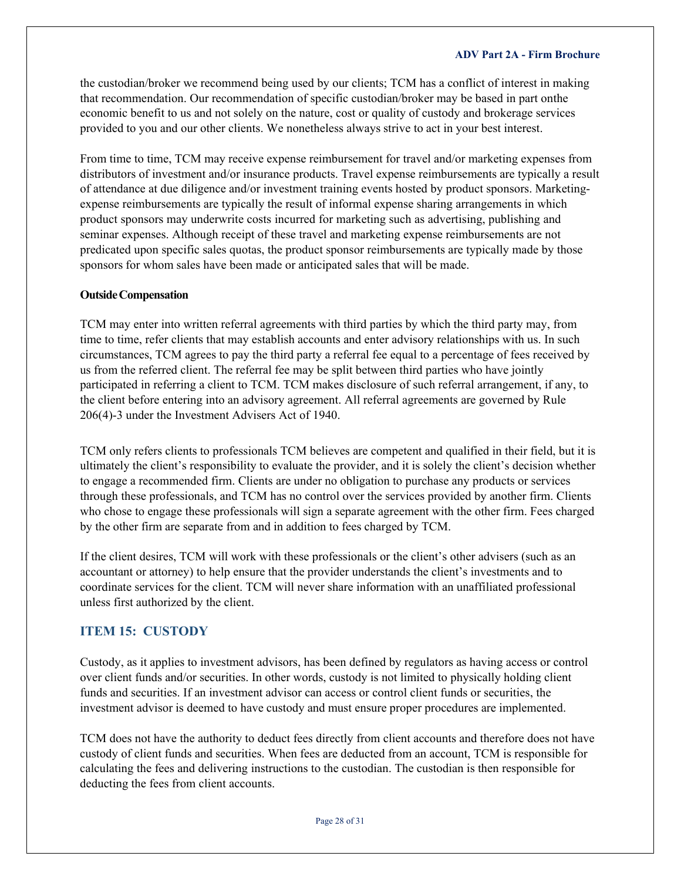the custodian/broker we recommend being used by our clients; TCM has a conflict of interest in making that recommendation. Our recommendation of specific custodian/broker may be based in part onthe economic benefit to us and not solely on the nature, cost or quality of custody and brokerage services provided to you and our other clients. We nonetheless always strive to act in your best interest.

From time to time, TCM may receive expense reimbursement for travel and/or marketing expenses from distributors of investment and/or insurance products. Travel expense reimbursements are typically a result of attendance at due diligence and/or investment training events hosted by product sponsors. Marketingexpense reimbursements are typically the result of informal expense sharing arrangements in which product sponsors may underwrite costs incurred for marketing such as advertising, publishing and seminar expenses. Although receipt of these travel and marketing expense reimbursements are not predicated upon specific sales quotas, the product sponsor reimbursements are typically made by those sponsors for whom sales have been made or anticipated sales that will be made.

#### **OutsideCompensation**

TCM may enter into written referral agreements with third parties by which the third party may, from time to time, refer clients that may establish accounts and enter advisory relationships with us. In such circumstances, TCM agrees to pay the third party a referral fee equal to a percentage of fees received by us from the referred client. The referral fee may be split between third parties who have jointly participated in referring a client to TCM. TCM makes disclosure of such referral arrangement, if any, to the client before entering into an advisory agreement. All referral agreements are governed by Rule 206(4)-3 under the Investment Advisers Act of 1940.

TCM only refers clients to professionals TCM believes are competent and qualified in their field, but it is ultimately the client's responsibility to evaluate the provider, and it is solely the client's decision whether to engage a recommended firm. Clients are under no obligation to purchase any products or services through these professionals, and TCM has no control over the services provided by another firm. Clients who chose to engage these professionals will sign a separate agreement with the other firm. Fees charged by the other firm are separate from and in addition to fees charged by TCM.

If the client desires, TCM will work with these professionals or the client's other advisers (such as an accountant or attorney) to help ensure that the provider understands the client's investments and to coordinate services for the client. TCM will never share information with an unaffiliated professional unless first authorized by the client.

### <span id="page-27-0"></span>**ITEM 15: CUSTODY**

Custody, as it applies to investment advisors, has been defined by regulators as having access or control over client funds and/or securities. In other words, custody is not limited to physically holding client funds and securities. If an investment advisor can access or control client funds or securities, the investment advisor is deemed to have custody and must ensure proper procedures are implemented.

TCM does not have the authority to deduct fees directly from client accounts and therefore does not have custody of client funds and securities. When fees are deducted from an account, TCM is responsible for calculating the fees and delivering instructions to the custodian. The custodian is then responsible for deducting the fees from client accounts.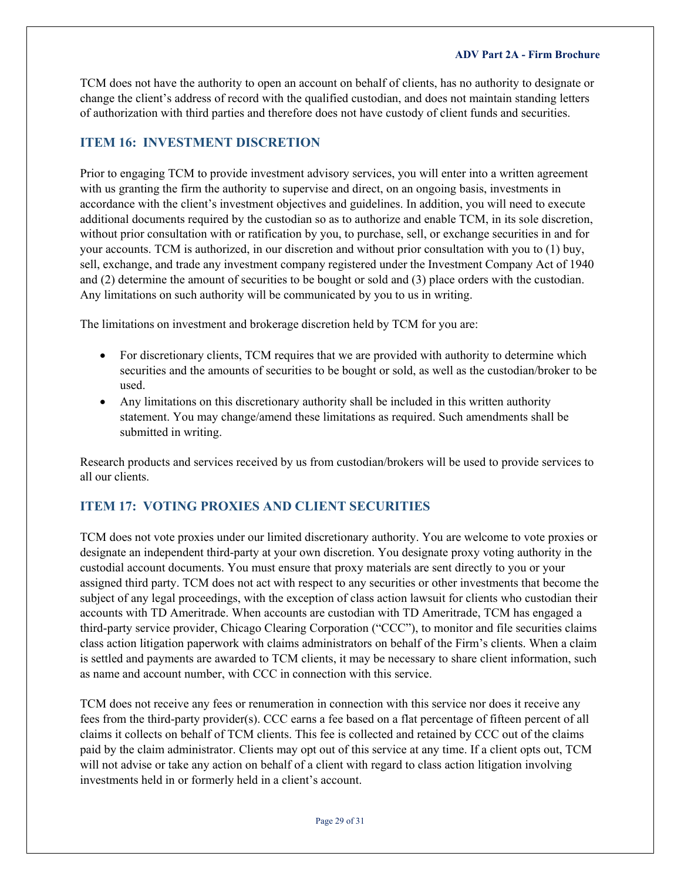TCM does not have the authority to open an account on behalf of clients, has no authority to designate or change the client's address of record with the qualified custodian, and does not maintain standing letters of authorization with third parties and therefore does not have custody of client funds and securities.

## <span id="page-28-0"></span>**ITEM 16: INVESTMENT DISCRETION**

Prior to engaging TCM to provide investment advisory services, you will enter into a written agreement with us granting the firm the authority to supervise and direct, on an ongoing basis, investments in accordance with the client's investment objectives and guidelines. In addition, you will need to execute additional documents required by the custodian so as to authorize and enable TCM, in its sole discretion, without prior consultation with or ratification by you, to purchase, sell, or exchange securities in and for your accounts. TCM is authorized, in our discretion and without prior consultation with you to (1) buy, sell, exchange, and trade any investment company registered under the Investment Company Act of 1940 and (2) determine the amount of securities to be bought or sold and (3) place orders with the custodian. Any limitations on such authority will be communicated by you to us in writing.

The limitations on investment and brokerage discretion held by TCM for you are:

- For discretionary clients, TCM requires that we are provided with authority to determine which securities and the amounts of securities to be bought or sold, as well as the custodian/broker to be used.
- Any limitations on this discretionary authority shall be included in this written authority statement. You may change/amend these limitations as required. Such amendments shall be submitted in writing.

Research products and services received by us from custodian/brokers will be used to provide services to all our clients.

## <span id="page-28-1"></span>**ITEM 17: VOTING PROXIES AND CLIENT SECURITIES**

TCM does not vote proxies under our limited discretionary authority. You are welcome to vote proxies or designate an independent third-party at your own discretion. You designate proxy voting authority in the custodial account documents. You must ensure that proxy materials are sent directly to you or your assigned third party. TCM does not act with respect to any securities or other investments that become the subject of any legal proceedings, with the exception of class action lawsuit for clients who custodian their accounts with TD Ameritrade. When accounts are custodian with TD Ameritrade, TCM has engaged a third-party service provider, Chicago Clearing Corporation ("CCC"), to monitor and file securities claims class action litigation paperwork with claims administrators on behalf of the Firm's clients. When a claim is settled and payments are awarded to TCM clients, it may be necessary to share client information, such as name and account number, with CCC in connection with this service.

TCM does not receive any fees or renumeration in connection with this service nor does it receive any fees from the third-party provider(s). CCC earns a fee based on a flat percentage of fifteen percent of all claims it collects on behalf of TCM clients. This fee is collected and retained by CCC out of the claims paid by the claim administrator. Clients may opt out of this service at any time. If a client opts out, TCM will not advise or take any action on behalf of a client with regard to class action litigation involving investments held in or formerly held in a client's account.